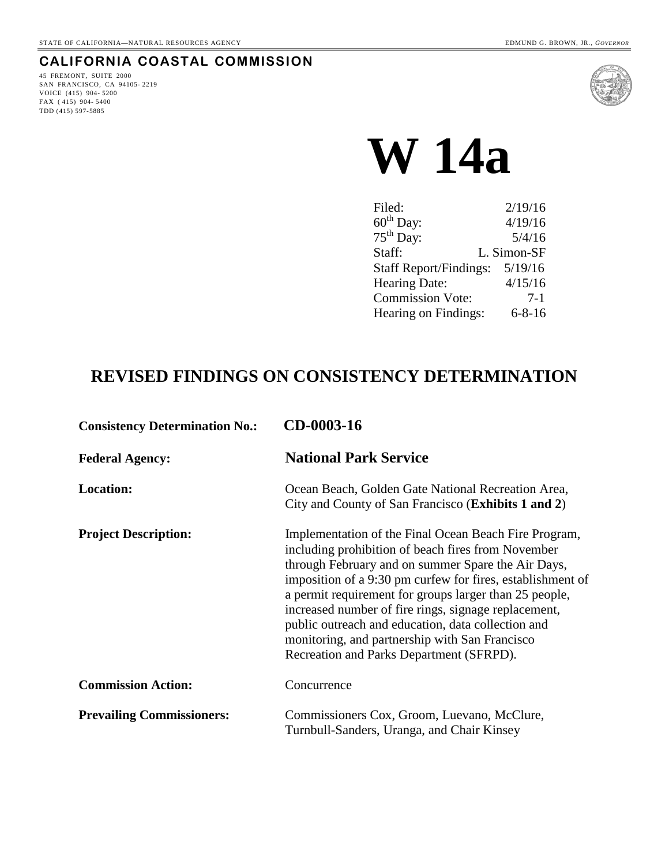# **CALIFORNIA COASTAL COMMISSION**

45 FREMONT, SUITE 2000 SAN FRANCISCO, CA 94105- 2219 VOICE (415) 904- 5200 FAX (415) 904-5400 TDD (415) 597-5885



# **W 14a**

| Filed:                        | 2/19/16      |
|-------------------------------|--------------|
| $60^{\text{th}}$ Day:         | 4/19/16      |
| $75th$ Day:                   | 5/4/16       |
| Staff:                        | L. Simon-SF  |
| <b>Staff Report/Findings:</b> | 5/19/16      |
| Hearing Date:                 | 4/15/16      |
| <b>Commission Vote:</b>       | $7-1$        |
| Hearing on Findings:          | $6 - 8 - 16$ |

# **REVISED FINDINGS ON CONSISTENCY DETERMINATION**

| <b>Consistency Determination No.:</b> | CD-0003-16                                                                                                                                                                                                                                                                                                                                                                                                                                                                                            |  |
|---------------------------------------|-------------------------------------------------------------------------------------------------------------------------------------------------------------------------------------------------------------------------------------------------------------------------------------------------------------------------------------------------------------------------------------------------------------------------------------------------------------------------------------------------------|--|
| <b>Federal Agency:</b>                | <b>National Park Service</b>                                                                                                                                                                                                                                                                                                                                                                                                                                                                          |  |
| <b>Location:</b>                      | Ocean Beach, Golden Gate National Recreation Area,<br>City and County of San Francisco ( <b>Exhibits 1 and 2</b> )                                                                                                                                                                                                                                                                                                                                                                                    |  |
| <b>Project Description:</b>           | Implementation of the Final Ocean Beach Fire Program,<br>including prohibition of beach fires from November<br>through February and on summer Spare the Air Days,<br>imposition of a 9:30 pm curfew for fires, establishment of<br>a permit requirement for groups larger than 25 people,<br>increased number of fire rings, signage replacement,<br>public outreach and education, data collection and<br>monitoring, and partnership with San Francisco<br>Recreation and Parks Department (SFRPD). |  |
| <b>Commission Action:</b>             | Concurrence                                                                                                                                                                                                                                                                                                                                                                                                                                                                                           |  |
| <b>Prevailing Commissioners:</b>      | Commissioners Cox, Groom, Luevano, McClure,<br>Turnbull-Sanders, Uranga, and Chair Kinsey                                                                                                                                                                                                                                                                                                                                                                                                             |  |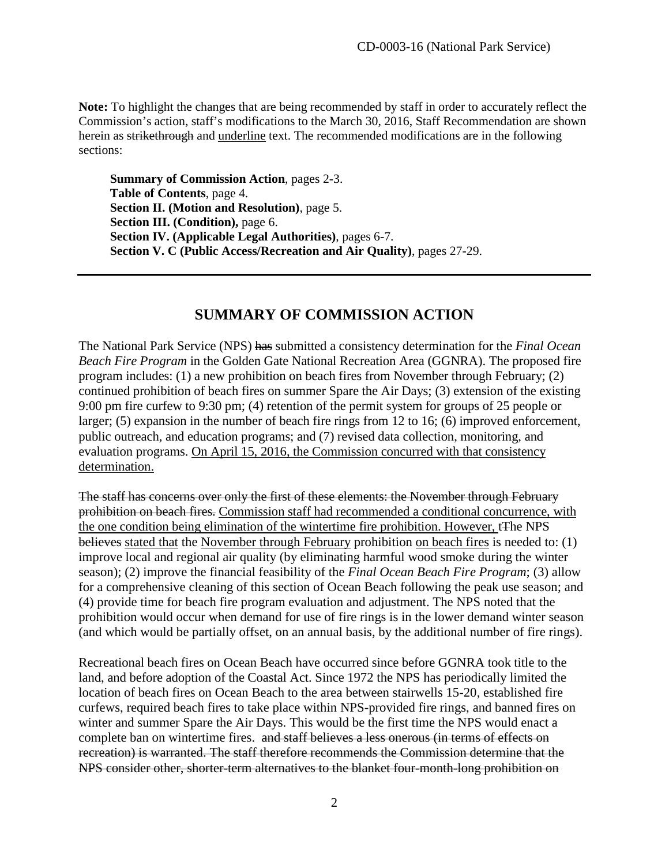**Note:** To highlight the changes that are being recommended by staff in order to accurately reflect the Commission's action, staff's modifications to the March 30, 2016, Staff Recommendation are shown herein as strikethrough and underline text. The recommended modifications are in the following sections:

**Summary of Commission Action**, pages 2-3. **Table of Contents**, page 4. **Section II. (Motion and Resolution)**, page 5. **Section III. (Condition),** page 6. **Section IV. (Applicable Legal Authorities)**, pages 6-7. **Section V. C (Public Access/Recreation and Air Quality)**, pages 27-29.

# **SUMMARY OF COMMISSION ACTION**

The National Park Service (NPS) has submitted a consistency determination for the *Final Ocean Beach Fire Program* in the Golden Gate National Recreation Area (GGNRA). The proposed fire program includes: (1) a new prohibition on beach fires from November through February; (2) continued prohibition of beach fires on summer Spare the Air Days; (3) extension of the existing 9:00 pm fire curfew to 9:30 pm; (4) retention of the permit system for groups of 25 people or larger; (5) expansion in the number of beach fire rings from 12 to 16; (6) improved enforcement, public outreach, and education programs; and (7) revised data collection, monitoring, and evaluation programs. On April 15, 2016, the Commission concurred with that consistency determination.

The staff has concerns over only the first of these elements: the November through February prohibition on beach fires. Commission staff had recommended a conditional concurrence, with the one condition being elimination of the wintertime fire prohibition. However, t<sub>The NPS</sub> believes stated that the November through February prohibition on beach fires is needed to: (1) improve local and regional air quality (by eliminating harmful wood smoke during the winter season); (2) improve the financial feasibility of the *Final Ocean Beach Fire Program*; (3) allow for a comprehensive cleaning of this section of Ocean Beach following the peak use season; and (4) provide time for beach fire program evaluation and adjustment. The NPS noted that the prohibition would occur when demand for use of fire rings is in the lower demand winter season (and which would be partially offset, on an annual basis, by the additional number of fire rings).

Recreational beach fires on Ocean Beach have occurred since before GGNRA took title to the land, and before adoption of the Coastal Act. Since 1972 the NPS has periodically limited the location of beach fires on Ocean Beach to the area between stairwells 15-20, established fire curfews, required beach fires to take place within NPS-provided fire rings, and banned fires on winter and summer Spare the Air Days. This would be the first time the NPS would enact a complete ban on wintertime fires. and staff believes a less onerous (in terms of effects on recreation) is warranted. The staff therefore recommends the Commission determine that the NPS consider other, shorter-term alternatives to the blanket four-month-long prohibition on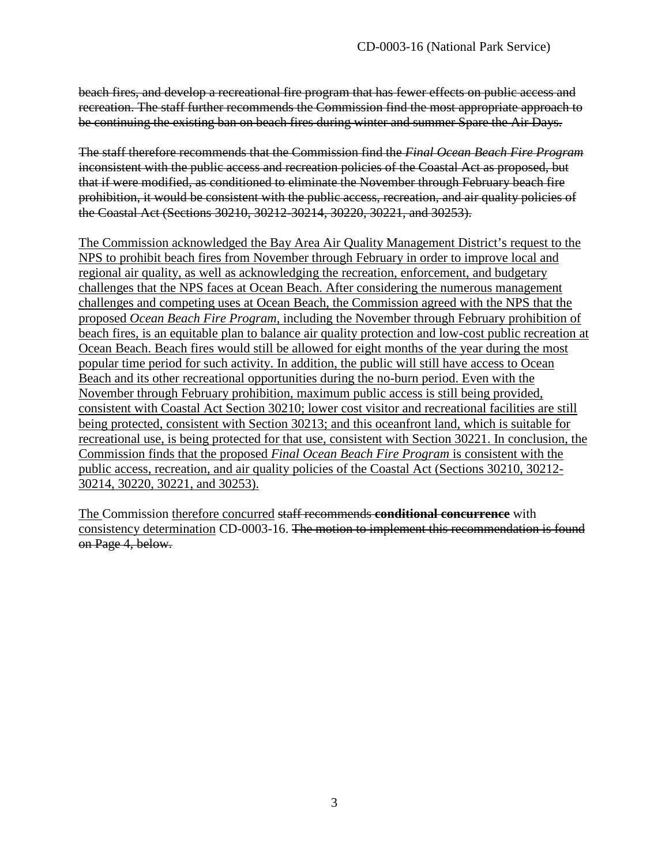beach fires, and develop a recreational fire program that has fewer effects on public access and recreation. The staff further recommends the Commission find the most appropriate approach to be continuing the existing ban on beach fires during winter and summer Spare the Air Days.

The staff therefore recommends that the Commission find the *Final Ocean Beach Fire Program* inconsistent with the public access and recreation policies of the Coastal Act as proposed, but that if were modified, as conditioned to eliminate the November through February beach fire prohibition, it would be consistent with the public access, recreation, and air quality policies of the Coastal Act (Sections 30210, 30212-30214, 30220, 30221, and 30253).

The Commission acknowledged the Bay Area Air Quality Management District's request to the NPS to prohibit beach fires from November through February in order to improve local and regional air quality, as well as acknowledging the recreation, enforcement, and budgetary challenges that the NPS faces at Ocean Beach. After considering the numerous management challenges and competing uses at Ocean Beach, the Commission agreed with the NPS that the proposed *Ocean Beach Fire Program*, including the November through February prohibition of beach fires, is an equitable plan to balance air quality protection and low-cost public recreation at Ocean Beach. Beach fires would still be allowed for eight months of the year during the most popular time period for such activity. In addition, the public will still have access to Ocean Beach and its other recreational opportunities during the no-burn period. Even with the November through February prohibition, maximum public access is still being provided, consistent with Coastal Act Section 30210; lower cost visitor and recreational facilities are still being protected, consistent with Section 30213; and this oceanfront land, which is suitable for recreational use, is being protected for that use, consistent with Section 30221. In conclusion, the Commission finds that the proposed *Final Ocean Beach Fire Program* is consistent with the public access, recreation, and air quality policies of the Coastal Act (Sections 30210, 30212- 30214, 30220, 30221, and 30253).

The Commission therefore concurred staff recommends **conditional concurrence** with consistency determination CD-0003-16. The motion to implement this recommendation is found on Page 4, below.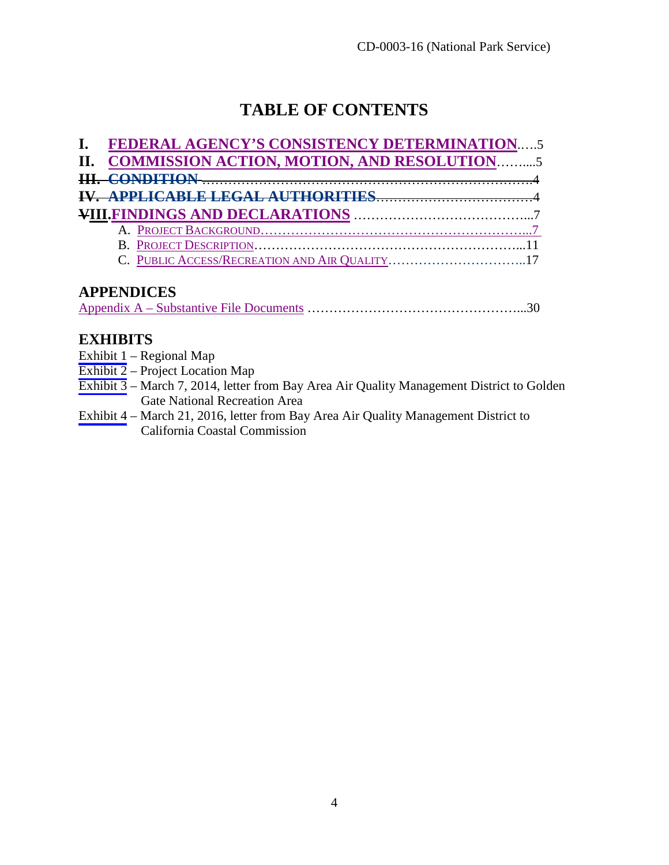# **TABLE OF CONTENTS**

| I. FEDERAL AGENCY'S CONSISTENCY DETERMINATION5 |
|------------------------------------------------|
| II. COMMISSION ACTION, MOTION, AND RESOLUTION5 |
|                                                |
|                                                |
|                                                |
|                                                |
|                                                |
| C. PUBLIC ACCESS/RECREATION AND AIR QUALITY17  |
|                                                |

# **APPENDICES**

|--|

# **EXHIBITS**

- [Exhibit 1](#page-30-0) Regional Map
- [Exhibit 2](#page-31-0) Project Location Map
- [Exhibit 3](#page-32-0) March 7, 2014, letter from Bay Area Air Quality Management District to Golden Gate National Recreation Area
- [Exhibit 4](#page-34-0) March 21, 2016, letter from Bay Area Air Quality Management District to California Coastal Commission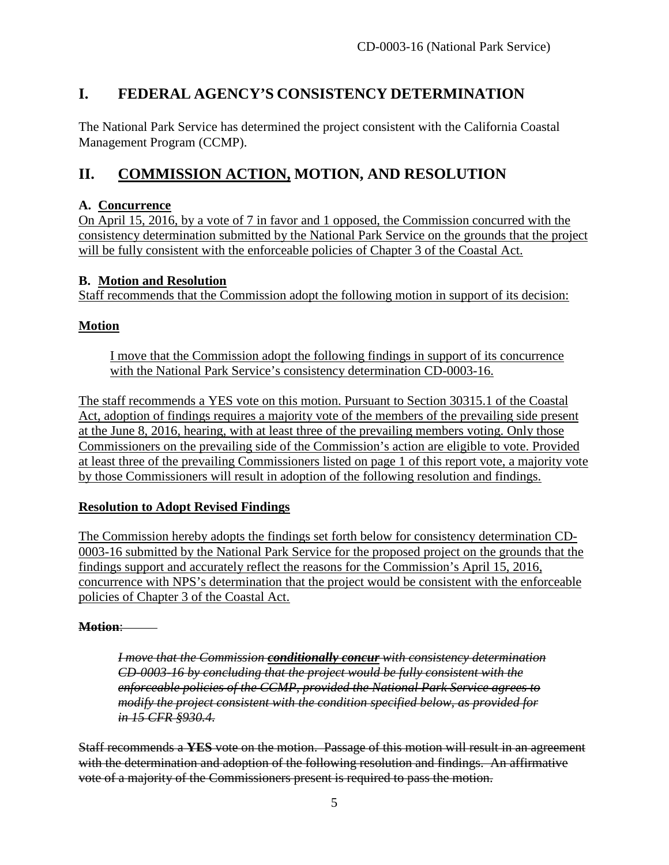# <span id="page-4-0"></span>**I. FEDERAL AGENCY'S CONSISTENCY DETERMINATION**

The National Park Service has determined the project consistent with the California Coastal Management Program (CCMP).

# <span id="page-4-1"></span>**II. COMMISSION ACTION, MOTION, AND RESOLUTION**

#### **A. Concurrence**

On April 15, 2016, by a vote of 7 in favor and 1 opposed, the Commission concurred with the consistency determination submitted by the National Park Service on the grounds that the project will be fully consistent with the enforceable policies of Chapter 3 of the Coastal Act.

## **B. Motion and Resolution**

Staff recommends that the Commission adopt the following motion in support of its decision:

# **Motion**

I move that the Commission adopt the following findings in support of its concurrence with the National Park Service's consistency determination CD-0003-16.

The staff recommends a YES vote on this motion. Pursuant to Section 30315.1 of the Coastal Act, adoption of findings requires a majority vote of the members of the prevailing side present at the June 8, 2016, hearing, with at least three of the prevailing members voting. Only those Commissioners on the prevailing side of the Commission's action are eligible to vote. Provided at least three of the prevailing Commissioners listed on page 1 of this report vote, a majority vote by those Commissioners will result in adoption of the following resolution and findings.

# **Resolution to Adopt Revised Findings**

The Commission hereby adopts the findings set forth below for consistency determination CD-0003-16 submitted by the National Park Service for the proposed project on the grounds that the findings support and accurately reflect the reasons for the Commission's April 15, 2016, concurrence with NPS's determination that the project would be consistent with the enforceable policies of Chapter 3 of the Coastal Act.

# **Motion**:

*I move that the Commission conditionally concur with consistency determination CD-0003-16 by concluding that the project would be fully consistent with the enforceable policies of the CCMP, provided the National Park Service agrees to modify the project consistent with the condition specified below, as provided for in 15 CFR §930.4.* 

Staff recommends a **YES** vote on the motion. Passage of this motion will result in an agreement with the determination and adoption of the following resolution and findings. An affirmative vote of a majority of the Commissioners present is required to pass the motion.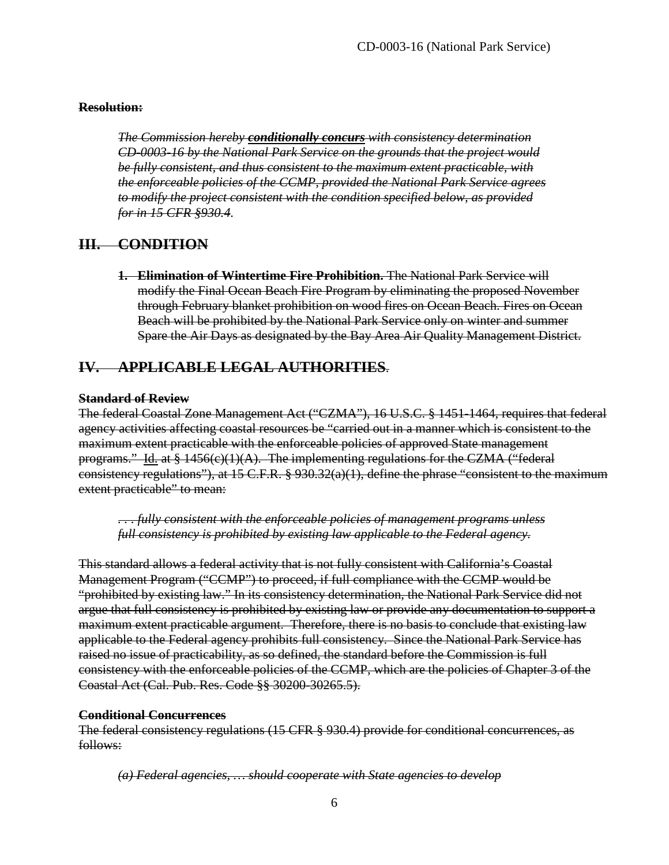#### **Resolution:**

*The Commission hereby conditionally concurs with consistency determination CD-0003-16 by the National Park Service on the grounds that the project would be fully consistent, and thus consistent to the maximum extent practicable, with the enforceable policies of the CCMP, provided the National Park Service agrees to modify the project consistent with the condition specified below, as provided for in 15 CFR §930.4.* 

## **III. CONDITION**

<span id="page-5-0"></span>**1. Elimination of Wintertime Fire Prohibition.** The National Park Service will modify the Final Ocean Beach Fire Program by eliminating the proposed November through February blanket prohibition on wood fires on Ocean Beach. Fires on Ocean Beach will be prohibited by the National Park Service only on winter and summer Spare the Air Days as designated by the Bay Area Air Quality Management District.

# <span id="page-5-1"></span>**IV. APPLICABLE LEGAL AUTHORITIES**.

#### **Standard of Review**

The federal Coastal Zone Management Act ("CZMA"), 16 U.S.C. § 1451-1464, requires that federal agency activities affecting coastal resources be "carried out in a manner which is consistent to the maximum extent practicable with the enforceable policies of approved State management programs." Id. at  $\S 1456(e)(1)(A)$ . The implementing regulations for the CZMA ("federal consistency regulations"), at 15 C.F.R. § 930.32(a)(1), define the phrase "consistent to the maximum extent practicable" to mean:

*. . . fully consistent with the enforceable policies of management programs unless full consistency is prohibited by existing law applicable to the Federal agency.* 

This standard allows a federal activity that is not fully consistent with California's Coastal Management Program ("CCMP") to proceed, if full compliance with the CCMP would be "prohibited by existing law." In its consistency determination, the National Park Service did not argue that full consistency is prohibited by existing law or provide any documentation to support a maximum extent practicable argument. Therefore, there is no basis to conclude that existing law applicable to the Federal agency prohibits full consistency. Since the National Park Service has raised no issue of practicability, as so defined, the standard before the Commission is full consistency with the enforceable policies of the CCMP, which are the policies of Chapter 3 of the Coastal Act (Cal. Pub. Res. Code §§ 30200-30265.5).

#### **Conditional Concurrences**

The federal consistency regulations (15 CFR § 930.4) provide for conditional concurrences, as follows:

*(a) Federal agencies, … should cooperate with State agencies to develop*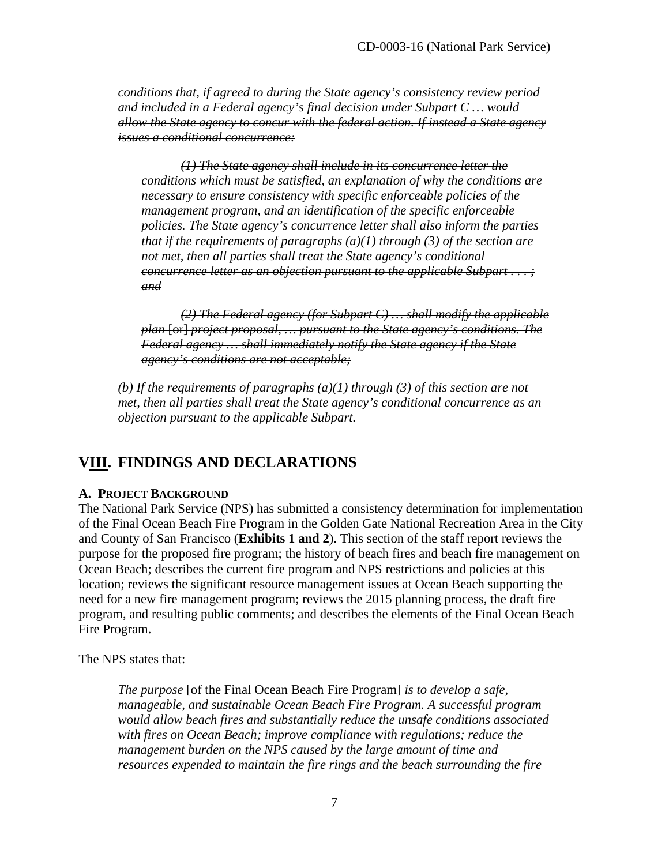*conditions that, if agreed to during the State agency's consistency review period and included in a Federal agency's final decision under Subpart C … would allow the State agency to concur with the federal action. If instead a State agency issues a conditional concurrence:* 

*(1) The State agency shall include in its concurrence letter the conditions which must be satisfied, an explanation of why the conditions are necessary to ensure consistency with specific enforceable policies of the management program, and an identification of the specific enforceable policies. The State agency's concurrence letter shall also inform the parties that if the requirements of paragraphs (a)(1) through (3) of the section are not met, then all parties shall treat the State agency's conditional concurrence letter as an objection pursuant to the applicable Subpart . . . ; and* 

*(2) The Federal agency (for Subpart C) … shall modify the applicable plan* [or] *project proposal, … pursuant to the State agency's conditions. The Federal agency … shall immediately notify the State agency if the State agency's conditions are not acceptable;* 

*(b) If the requirements of paragraphs (a)(1) through (3) of this section are not met, then all parties shall treat the State agency's conditional concurrence as an objection pursuant to the applicable Subpart.* 

# <span id="page-6-0"></span>**VIII. FINDINGS AND DECLARATIONS**

#### <span id="page-6-1"></span>**A. PROJECT BACKGROUND**

The National Park Service (NPS) has submitted a consistency determination for implementation of the Final Ocean Beach Fire Program in the Golden Gate National Recreation Area in the City and County of San Francisco (**Exhibits 1 and 2**). This section of the staff report reviews the purpose for the proposed fire program; the history of beach fires and beach fire management on Ocean Beach; describes the current fire program and NPS restrictions and policies at this location; reviews the significant resource management issues at Ocean Beach supporting the need for a new fire management program; reviews the 2015 planning process, the draft fire program, and resulting public comments; and describes the elements of the Final Ocean Beach Fire Program.

The NPS states that:

*The purpose* [of the Final Ocean Beach Fire Program] *is to develop a safe, manageable, and sustainable Ocean Beach Fire Program. A successful program would allow beach fires and substantially reduce the unsafe conditions associated with fires on Ocean Beach; improve compliance with regulations; reduce the management burden on the NPS caused by the large amount of time and resources expended to maintain the fire rings and the beach surrounding the fire*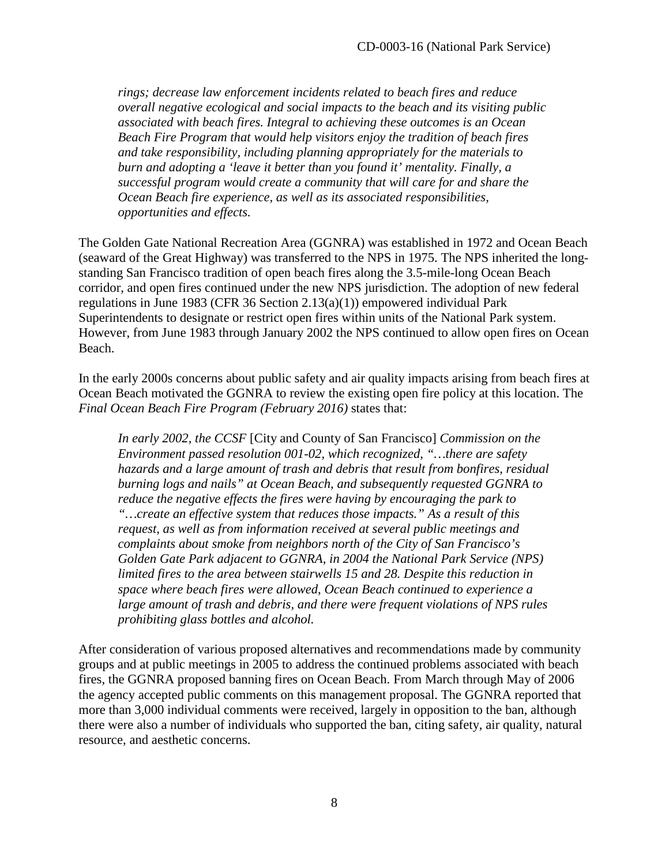*rings; decrease law enforcement incidents related to beach fires and reduce overall negative ecological and social impacts to the beach and its visiting public associated with beach fires. Integral to achieving these outcomes is an Ocean Beach Fire Program that would help visitors enjoy the tradition of beach fires and take responsibility, including planning appropriately for the materials to burn and adopting a 'leave it better than you found it' mentality. Finally, a successful program would create a community that will care for and share the Ocean Beach fire experience, as well as its associated responsibilities, opportunities and effects.*

The Golden Gate National Recreation Area (GGNRA) was established in 1972 and Ocean Beach (seaward of the Great Highway) was transferred to the NPS in 1975. The NPS inherited the longstanding San Francisco tradition of open beach fires along the 3.5-mile-long Ocean Beach corridor, and open fires continued under the new NPS jurisdiction. The adoption of new federal regulations in June 1983 (CFR 36 Section 2.13(a)(1)) empowered individual Park Superintendents to designate or restrict open fires within units of the National Park system. However, from June 1983 through January 2002 the NPS continued to allow open fires on Ocean Beach.

In the early 2000s concerns about public safety and air quality impacts arising from beach fires at Ocean Beach motivated the GGNRA to review the existing open fire policy at this location. The *Final Ocean Beach Fire Program (February 2016)* states that:

*In early 2002, the CCSF* [City and County of San Francisco] *Commission on the Environment passed resolution 001-02, which recognized, "…there are safety hazards and a large amount of trash and debris that result from bonfires, residual burning logs and nails" at Ocean Beach, and subsequently requested GGNRA to reduce the negative effects the fires were having by encouraging the park to "…create an effective system that reduces those impacts." As a result of this request, as well as from information received at several public meetings and complaints about smoke from neighbors north of the City of San Francisco's Golden Gate Park adjacent to GGNRA, in 2004 the National Park Service (NPS) limited fires to the area between stairwells 15 and 28. Despite this reduction in space where beach fires were allowed, Ocean Beach continued to experience a large amount of trash and debris, and there were frequent violations of NPS rules prohibiting glass bottles and alcohol.* 

After consideration of various proposed alternatives and recommendations made by community groups and at public meetings in 2005 to address the continued problems associated with beach fires, the GGNRA proposed banning fires on Ocean Beach. From March through May of 2006 the agency accepted public comments on this management proposal. The GGNRA reported that more than 3,000 individual comments were received, largely in opposition to the ban, although there were also a number of individuals who supported the ban, citing safety, air quality, natural resource, and aesthetic concerns.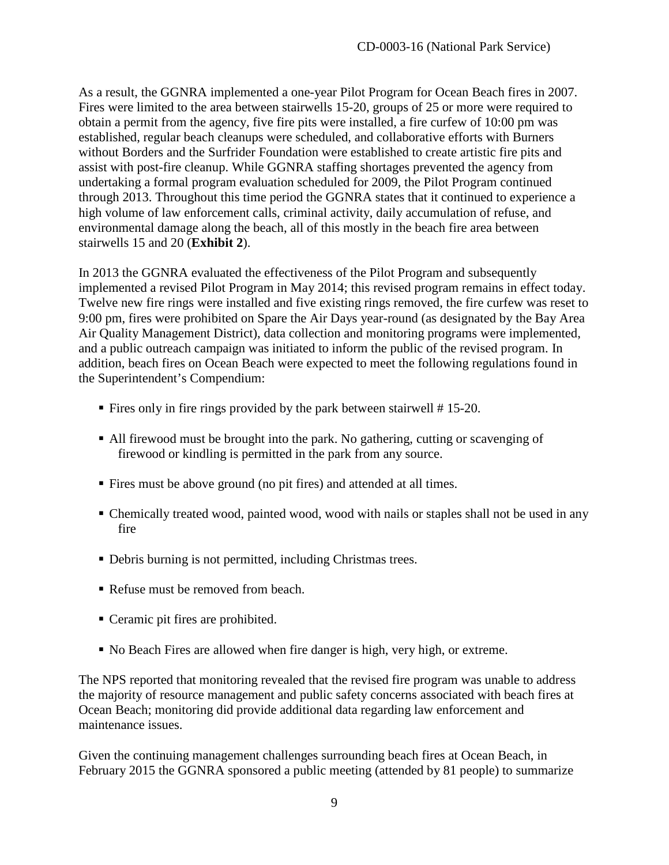As a result, the GGNRA implemented a one-year Pilot Program for Ocean Beach fires in 2007. Fires were limited to the area between stairwells 15-20, groups of 25 or more were required to obtain a permit from the agency, five fire pits were installed, a fire curfew of 10:00 pm was established, regular beach cleanups were scheduled, and collaborative efforts with Burners without Borders and the Surfrider Foundation were established to create artistic fire pits and assist with post-fire cleanup. While GGNRA staffing shortages prevented the agency from undertaking a formal program evaluation scheduled for 2009, the Pilot Program continued through 2013. Throughout this time period the GGNRA states that it continued to experience a high volume of law enforcement calls, criminal activity, daily accumulation of refuse, and environmental damage along the beach, all of this mostly in the beach fire area between stairwells 15 and 20 (**Exhibit 2**).

In 2013 the GGNRA evaluated the effectiveness of the Pilot Program and subsequently implemented a revised Pilot Program in May 2014; this revised program remains in effect today. Twelve new fire rings were installed and five existing rings removed, the fire curfew was reset to 9:00 pm, fires were prohibited on Spare the Air Days year-round (as designated by the Bay Area Air Quality Management District), data collection and monitoring programs were implemented, and a public outreach campaign was initiated to inform the public of the revised program. In addition, beach fires on Ocean Beach were expected to meet the following regulations found in the Superintendent's Compendium:

- Fires only in fire rings provided by the park between stairwell # 15-20.
- All firewood must be brought into the park. No gathering, cutting or scavenging of firewood or kindling is permitted in the park from any source.
- Fires must be above ground (no pit fires) and attended at all times.
- Chemically treated wood, painted wood, wood with nails or staples shall not be used in any fire
- Debris burning is not permitted, including Christmas trees.
- Refuse must be removed from beach.
- Ceramic pit fires are prohibited.
- No Beach Fires are allowed when fire danger is high, very high, or extreme.

The NPS reported that monitoring revealed that the revised fire program was unable to address the majority of resource management and public safety concerns associated with beach fires at Ocean Beach; monitoring did provide additional data regarding law enforcement and maintenance issues.

Given the continuing management challenges surrounding beach fires at Ocean Beach, in February 2015 the GGNRA sponsored a public meeting (attended by 81 people) to summarize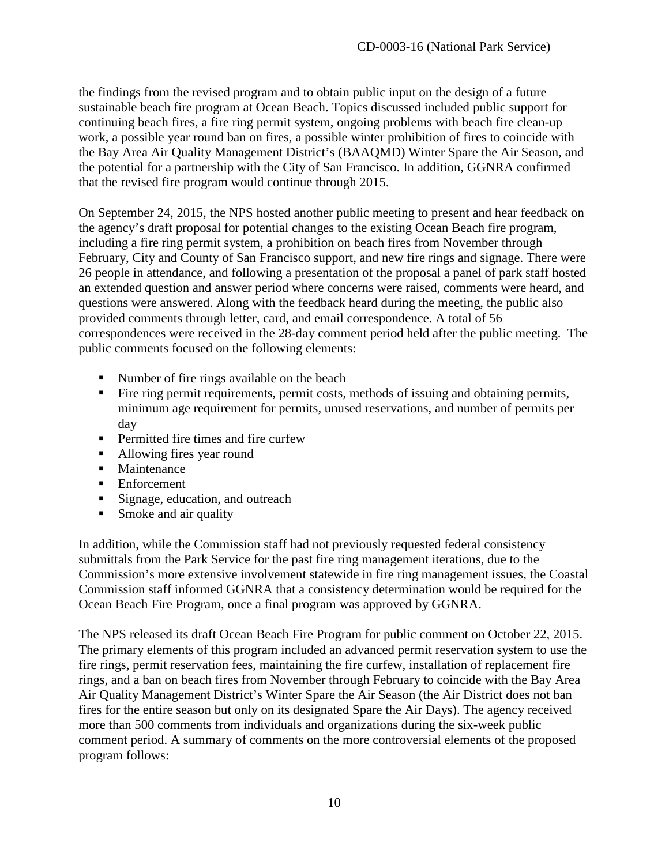the findings from the revised program and to obtain public input on the design of a future sustainable beach fire program at Ocean Beach. Topics discussed included public support for continuing beach fires, a fire ring permit system, ongoing problems with beach fire clean-up work, a possible year round ban on fires, a possible winter prohibition of fires to coincide with the Bay Area Air Quality Management District's (BAAQMD) Winter Spare the Air Season, and the potential for a partnership with the City of San Francisco. In addition, GGNRA confirmed that the revised fire program would continue through 2015.

On September 24, 2015, the NPS hosted another public meeting to present and hear feedback on the agency's draft proposal for potential changes to the existing Ocean Beach fire program, including a fire ring permit system, a prohibition on beach fires from November through February, City and County of San Francisco support, and new fire rings and signage. There were 26 people in attendance, and following a presentation of the proposal a panel of park staff hosted an extended question and answer period where concerns were raised, comments were heard, and questions were answered. Along with the feedback heard during the meeting, the public also provided comments through letter, card, and email correspondence. A total of 56 correspondences were received in the 28-day comment period held after the public meeting. The public comments focused on the following elements:

- Number of fire rings available on the beach
- Fire ring permit requirements, permit costs, methods of issuing and obtaining permits, minimum age requirement for permits, unused reservations, and number of permits per day
- **Permitted fire times and fire curfew**
- Allowing fires year round
- **Maintenance**
- **Enforcement**
- Signage, education, and outreach
- **Smoke and air quality**

In addition, while the Commission staff had not previously requested federal consistency submittals from the Park Service for the past fire ring management iterations, due to the Commission's more extensive involvement statewide in fire ring management issues, the Coastal Commission staff informed GGNRA that a consistency determination would be required for the Ocean Beach Fire Program, once a final program was approved by GGNRA.

The NPS released its draft Ocean Beach Fire Program for public comment on October 22, 2015. The primary elements of this program included an advanced permit reservation system to use the fire rings, permit reservation fees, maintaining the fire curfew, installation of replacement fire rings, and a ban on beach fires from November through February to coincide with the Bay Area Air Quality Management District's Winter Spare the Air Season (the Air District does not ban fires for the entire season but only on its designated Spare the Air Days). The agency received more than 500 comments from individuals and organizations during the six-week public comment period. A summary of comments on the more controversial elements of the proposed program follows: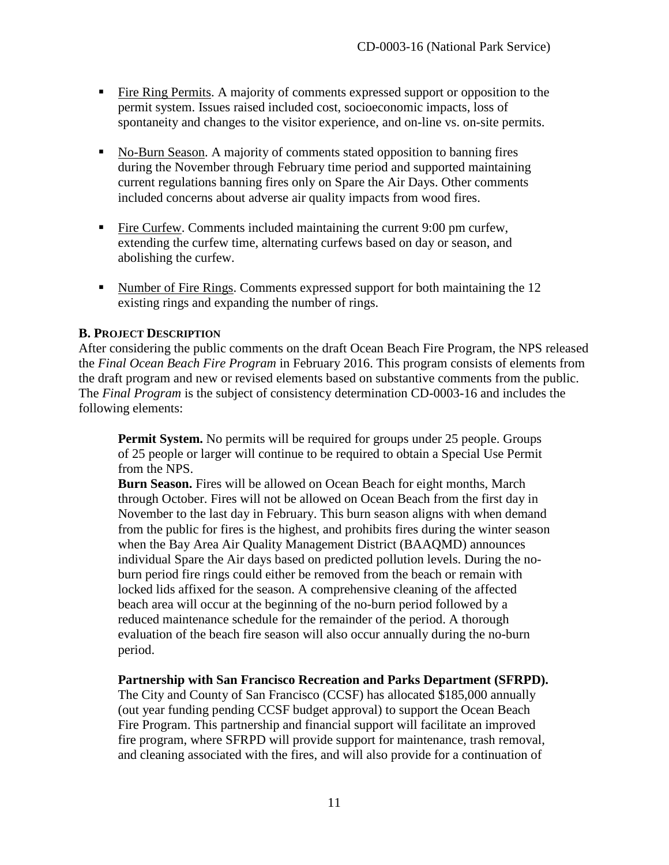- Fire Ring Permits. A majority of comments expressed support or opposition to the permit system. Issues raised included cost, socioeconomic impacts, loss of spontaneity and changes to the visitor experience, and on-line vs. on-site permits.
- No-Burn Season. A majority of comments stated opposition to banning fires during the November through February time period and supported maintaining current regulations banning fires only on Spare the Air Days. Other comments included concerns about adverse air quality impacts from wood fires.
- Fire Curfew. Comments included maintaining the current 9:00 pm curfew, extending the curfew time, alternating curfews based on day or season, and abolishing the curfew.
- Number of Fire Rings. Comments expressed support for both maintaining the 12 existing rings and expanding the number of rings.

#### <span id="page-10-0"></span>**B. PROJECT DESCRIPTION**

After considering the public comments on the draft Ocean Beach Fire Program, the NPS released the *Final Ocean Beach Fire Program* in February 2016. This program consists of elements from the draft program and new or revised elements based on substantive comments from the public. The *Final Program* is the subject of consistency determination CD-0003-16 and includes the following elements:

**Permit System.** No permits will be required for groups under 25 people. Groups of 25 people or larger will continue to be required to obtain a Special Use Permit from the NPS.

**Burn Season.** Fires will be allowed on Ocean Beach for eight months, March through October. Fires will not be allowed on Ocean Beach from the first day in November to the last day in February. This burn season aligns with when demand from the public for fires is the highest, and prohibits fires during the winter season when the Bay Area Air Quality Management District (BAAQMD) announces individual Spare the Air days based on predicted pollution levels. During the noburn period fire rings could either be removed from the beach or remain with locked lids affixed for the season. A comprehensive cleaning of the affected beach area will occur at the beginning of the no-burn period followed by a reduced maintenance schedule for the remainder of the period. A thorough evaluation of the beach fire season will also occur annually during the no-burn period.

#### **Partnership with San Francisco Recreation and Parks Department (SFRPD).**

The City and County of San Francisco (CCSF) has allocated \$185,000 annually (out year funding pending CCSF budget approval) to support the Ocean Beach Fire Program. This partnership and financial support will facilitate an improved fire program, where SFRPD will provide support for maintenance, trash removal, and cleaning associated with the fires, and will also provide for a continuation of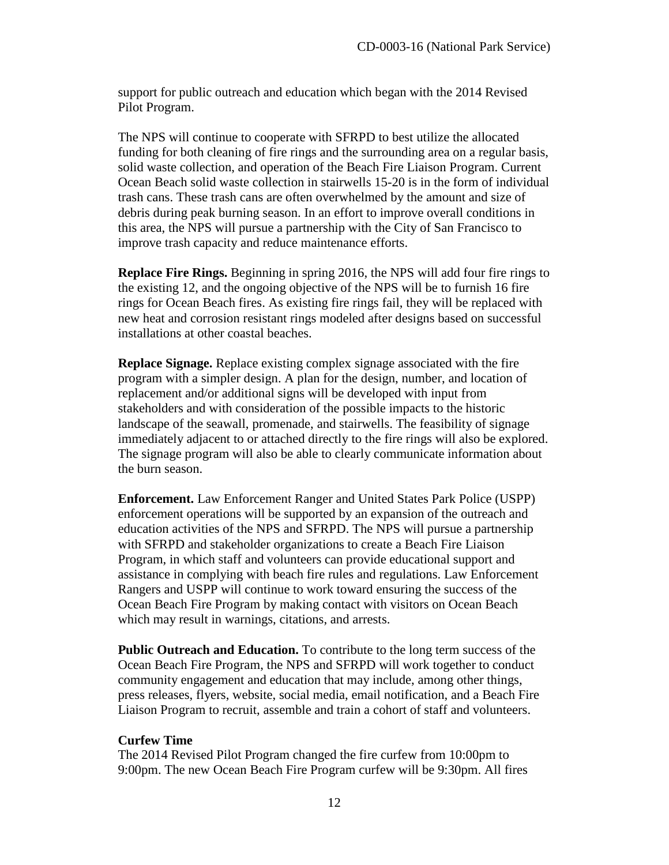support for public outreach and education which began with the 2014 Revised Pilot Program.

The NPS will continue to cooperate with SFRPD to best utilize the allocated funding for both cleaning of fire rings and the surrounding area on a regular basis, solid waste collection, and operation of the Beach Fire Liaison Program. Current Ocean Beach solid waste collection in stairwells 15-20 is in the form of individual trash cans. These trash cans are often overwhelmed by the amount and size of debris during peak burning season. In an effort to improve overall conditions in this area, the NPS will pursue a partnership with the City of San Francisco to improve trash capacity and reduce maintenance efforts.

**Replace Fire Rings.** Beginning in spring 2016, the NPS will add four fire rings to the existing 12, and the ongoing objective of the NPS will be to furnish 16 fire rings for Ocean Beach fires. As existing fire rings fail, they will be replaced with new heat and corrosion resistant rings modeled after designs based on successful installations at other coastal beaches.

**Replace Signage.** Replace existing complex signage associated with the fire program with a simpler design. A plan for the design, number, and location of replacement and/or additional signs will be developed with input from stakeholders and with consideration of the possible impacts to the historic landscape of the seawall, promenade, and stairwells. The feasibility of signage immediately adjacent to or attached directly to the fire rings will also be explored. The signage program will also be able to clearly communicate information about the burn season.

**Enforcement.** Law Enforcement Ranger and United States Park Police (USPP) enforcement operations will be supported by an expansion of the outreach and education activities of the NPS and SFRPD. The NPS will pursue a partnership with SFRPD and stakeholder organizations to create a Beach Fire Liaison Program, in which staff and volunteers can provide educational support and assistance in complying with beach fire rules and regulations. Law Enforcement Rangers and USPP will continue to work toward ensuring the success of the Ocean Beach Fire Program by making contact with visitors on Ocean Beach which may result in warnings, citations, and arrests.

**Public Outreach and Education.** To contribute to the long term success of the Ocean Beach Fire Program, the NPS and SFRPD will work together to conduct community engagement and education that may include, among other things, press releases, flyers, website, social media, email notification, and a Beach Fire Liaison Program to recruit, assemble and train a cohort of staff and volunteers.

#### **Curfew Time**

The 2014 Revised Pilot Program changed the fire curfew from 10:00pm to 9:00pm. The new Ocean Beach Fire Program curfew will be 9:30pm. All fires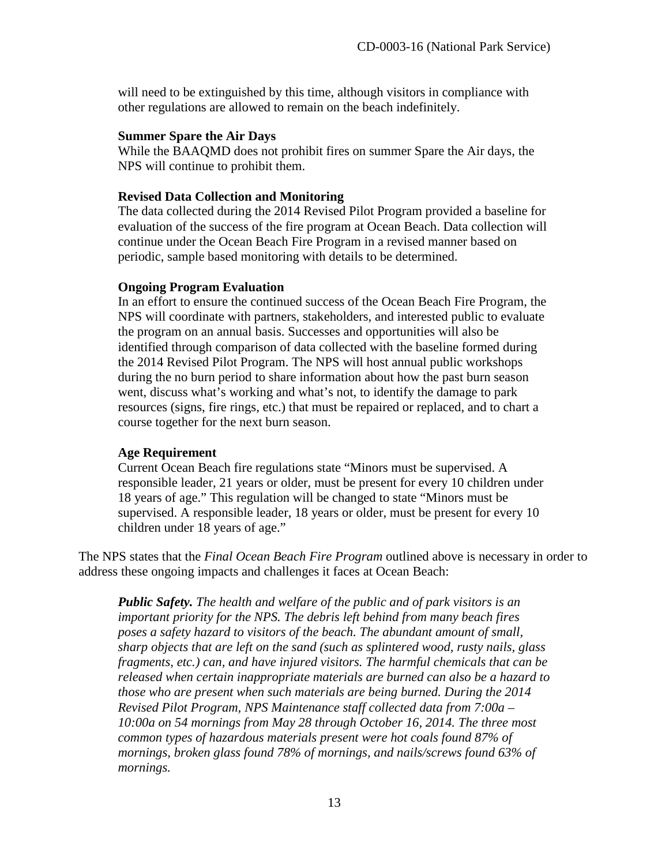will need to be extinguished by this time, although visitors in compliance with other regulations are allowed to remain on the beach indefinitely.

#### **Summer Spare the Air Days**

While the BAAQMD does not prohibit fires on summer Spare the Air days, the NPS will continue to prohibit them.

#### **Revised Data Collection and Monitoring**

The data collected during the 2014 Revised Pilot Program provided a baseline for evaluation of the success of the fire program at Ocean Beach. Data collection will continue under the Ocean Beach Fire Program in a revised manner based on periodic, sample based monitoring with details to be determined.

#### **Ongoing Program Evaluation**

In an effort to ensure the continued success of the Ocean Beach Fire Program, the NPS will coordinate with partners, stakeholders, and interested public to evaluate the program on an annual basis. Successes and opportunities will also be identified through comparison of data collected with the baseline formed during the 2014 Revised Pilot Program. The NPS will host annual public workshops during the no burn period to share information about how the past burn season went, discuss what's working and what's not, to identify the damage to park resources (signs, fire rings, etc.) that must be repaired or replaced, and to chart a course together for the next burn season.

#### **Age Requirement**

Current Ocean Beach fire regulations state "Minors must be supervised. A responsible leader, 21 years or older, must be present for every 10 children under 18 years of age." This regulation will be changed to state "Minors must be supervised. A responsible leader, 18 years or older, must be present for every 10 children under 18 years of age."

The NPS states that the *Final Ocean Beach Fire Program* outlined above is necessary in order to address these ongoing impacts and challenges it faces at Ocean Beach:

*Public Safety. The health and welfare of the public and of park visitors is an important priority for the NPS. The debris left behind from many beach fires poses a safety hazard to visitors of the beach. The abundant amount of small, sharp objects that are left on the sand (such as splintered wood, rusty nails, glass fragments, etc.) can, and have injured visitors. The harmful chemicals that can be released when certain inappropriate materials are burned can also be a hazard to those who are present when such materials are being burned. During the 2014 Revised Pilot Program, NPS Maintenance staff collected data from 7:00a – 10:00a on 54 mornings from May 28 through October 16, 2014. The three most common types of hazardous materials present were hot coals found 87% of mornings, broken glass found 78% of mornings, and nails/screws found 63% of mornings.*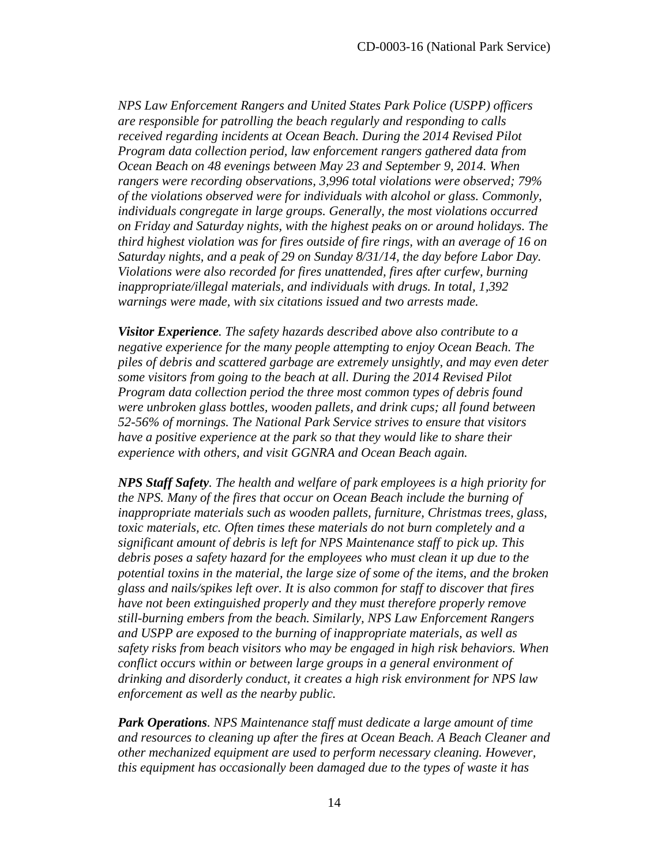*NPS Law Enforcement Rangers and United States Park Police (USPP) officers are responsible for patrolling the beach regularly and responding to calls received regarding incidents at Ocean Beach. During the 2014 Revised Pilot Program data collection period, law enforcement rangers gathered data from Ocean Beach on 48 evenings between May 23 and September 9, 2014. When rangers were recording observations, 3,996 total violations were observed; 79% of the violations observed were for individuals with alcohol or glass. Commonly, individuals congregate in large groups. Generally, the most violations occurred on Friday and Saturday nights, with the highest peaks on or around holidays. The third highest violation was for fires outside of fire rings, with an average of 16 on Saturday nights, and a peak of 29 on Sunday 8/31/14, the day before Labor Day. Violations were also recorded for fires unattended, fires after curfew, burning inappropriate/illegal materials, and individuals with drugs. In total, 1,392 warnings were made, with six citations issued and two arrests made.* 

*Visitor Experience. The safety hazards described above also contribute to a negative experience for the many people attempting to enjoy Ocean Beach. The piles of debris and scattered garbage are extremely unsightly, and may even deter some visitors from going to the beach at all. During the 2014 Revised Pilot Program data collection period the three most common types of debris found were unbroken glass bottles, wooden pallets, and drink cups; all found between 52-56% of mornings. The National Park Service strives to ensure that visitors have a positive experience at the park so that they would like to share their experience with others, and visit GGNRA and Ocean Beach again.*

*NPS Staff Safety. The health and welfare of park employees is a high priority for the NPS. Many of the fires that occur on Ocean Beach include the burning of inappropriate materials such as wooden pallets, furniture, Christmas trees, glass,*  toxic materials, etc. Often times these materials do not burn completely and a *significant amount of debris is left for NPS Maintenance staff to pick up. This debris poses a safety hazard for the employees who must clean it up due to the potential toxins in the material, the large size of some of the items, and the broken glass and nails/spikes left over. It is also common for staff to discover that fires have not been extinguished properly and they must therefore properly remove still-burning embers from the beach. Similarly, NPS Law Enforcement Rangers and USPP are exposed to the burning of inappropriate materials, as well as safety risks from beach visitors who may be engaged in high risk behaviors. When conflict occurs within or between large groups in a general environment of drinking and disorderly conduct, it creates a high risk environment for NPS law enforcement as well as the nearby public.*

*Park Operations. NPS Maintenance staff must dedicate a large amount of time and resources to cleaning up after the fires at Ocean Beach. A Beach Cleaner and other mechanized equipment are used to perform necessary cleaning. However, this equipment has occasionally been damaged due to the types of waste it has*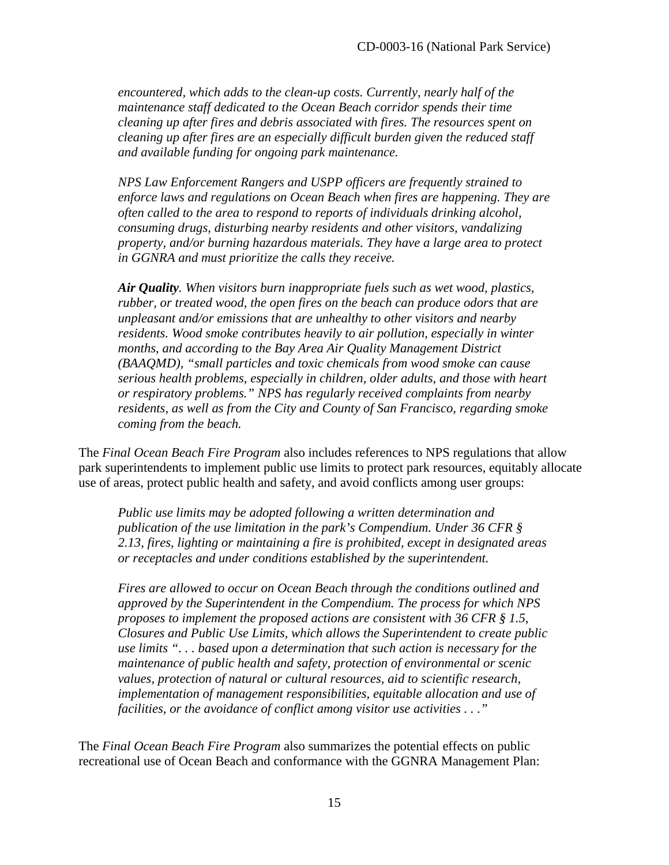*encountered, which adds to the clean-up costs. Currently, nearly half of the maintenance staff dedicated to the Ocean Beach corridor spends their time cleaning up after fires and debris associated with fires. The resources spent on cleaning up after fires are an especially difficult burden given the reduced staff and available funding for ongoing park maintenance.*

*NPS Law Enforcement Rangers and USPP officers are frequently strained to enforce laws and regulations on Ocean Beach when fires are happening. They are often called to the area to respond to reports of individuals drinking alcohol, consuming drugs, disturbing nearby residents and other visitors, vandalizing property, and/or burning hazardous materials. They have a large area to protect in GGNRA and must prioritize the calls they receive.*

*Air Quality. When visitors burn inappropriate fuels such as wet wood, plastics, rubber, or treated wood, the open fires on the beach can produce odors that are unpleasant and/or emissions that are unhealthy to other visitors and nearby residents. Wood smoke contributes heavily to air pollution, especially in winter months, and according to the Bay Area Air Quality Management District (BAAQMD), "small particles and toxic chemicals from wood smoke can cause serious health problems, especially in children, older adults, and those with heart or respiratory problems." NPS has regularly received complaints from nearby residents, as well as from the City and County of San Francisco, regarding smoke coming from the beach.* 

The *Final Ocean Beach Fire Program* also includes references to NPS regulations that allow park superintendents to implement public use limits to protect park resources, equitably allocate use of areas, protect public health and safety, and avoid conflicts among user groups:

*Public use limits may be adopted following a written determination and publication of the use limitation in the park's Compendium. Under 36 CFR § 2.13, fires, lighting or maintaining a fire is prohibited, except in designated areas or receptacles and under conditions established by the superintendent.* 

*Fires are allowed to occur on Ocean Beach through the conditions outlined and approved by the Superintendent in the Compendium. The process for which NPS proposes to implement the proposed actions are consistent with 36 CFR § 1.5, Closures and Public Use Limits, which allows the Superintendent to create public use limits ". . . based upon a determination that such action is necessary for the maintenance of public health and safety, protection of environmental or scenic values, protection of natural or cultural resources, aid to scientific research, implementation of management responsibilities, equitable allocation and use of facilities, or the avoidance of conflict among visitor use activities . . ."* 

The *Final Ocean Beach Fire Program* also summarizes the potential effects on public recreational use of Ocean Beach and conformance with the GGNRA Management Plan: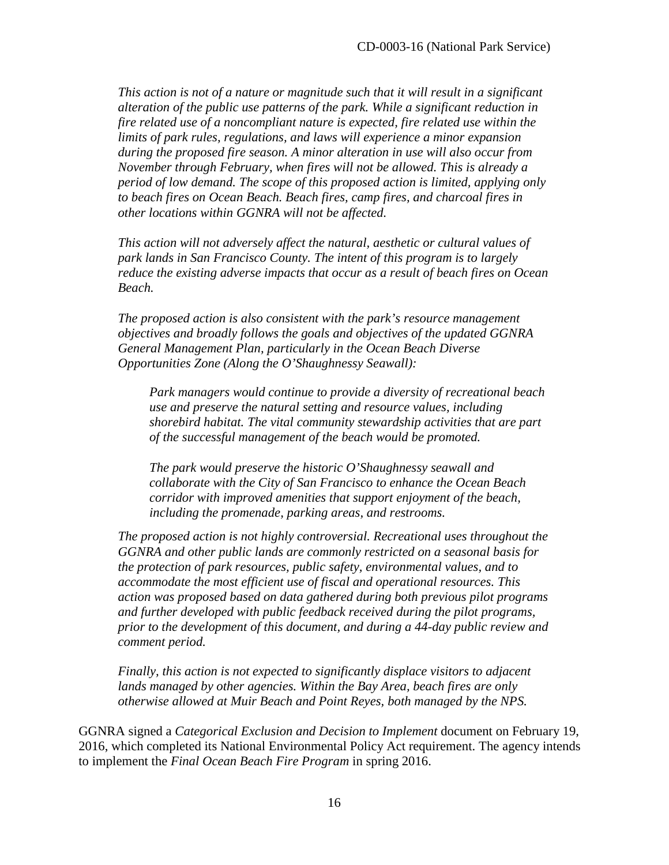*This action is not of a nature or magnitude such that it will result in a significant alteration of the public use patterns of the park. While a significant reduction in fire related use of a noncompliant nature is expected, fire related use within the limits of park rules, regulations, and laws will experience a minor expansion during the proposed fire season. A minor alteration in use will also occur from November through February, when fires will not be allowed. This is already a period of low demand. The scope of this proposed action is limited, applying only to beach fires on Ocean Beach. Beach fires, camp fires, and charcoal fires in other locations within GGNRA will not be affected.*

*This action will not adversely affect the natural, aesthetic or cultural values of park lands in San Francisco County. The intent of this program is to largely reduce the existing adverse impacts that occur as a result of beach fires on Ocean Beach.*

*The proposed action is also consistent with the park's resource management objectives and broadly follows the goals and objectives of the updated GGNRA General Management Plan, particularly in the Ocean Beach Diverse Opportunities Zone (Along the O'Shaughnessy Seawall):* 

*Park managers would continue to provide a diversity of recreational beach use and preserve the natural setting and resource values, including shorebird habitat. The vital community stewardship activities that are part of the successful management of the beach would be promoted.* 

*The park would preserve the historic O'Shaughnessy seawall and collaborate with the City of San Francisco to enhance the Ocean Beach corridor with improved amenities that support enjoyment of the beach, including the promenade, parking areas, and restrooms.* 

*The proposed action is not highly controversial. Recreational uses throughout the GGNRA and other public lands are commonly restricted on a seasonal basis for the protection of park resources, public safety, environmental values, and to accommodate the most efficient use of fiscal and operational resources. This action was proposed based on data gathered during both previous pilot programs and further developed with public feedback received during the pilot programs, prior to the development of this document, and during a 44-day public review and comment period.* 

*Finally, this action is not expected to significantly displace visitors to adjacent lands managed by other agencies. Within the Bay Area, beach fires are only otherwise allowed at Muir Beach and Point Reyes, both managed by the NPS.* 

GGNRA signed a *Categorical Exclusion and Decision to Implement* document on February 19, 2016, which completed its National Environmental Policy Act requirement. The agency intends to implement the *Final Ocean Beach Fire Program* in spring 2016.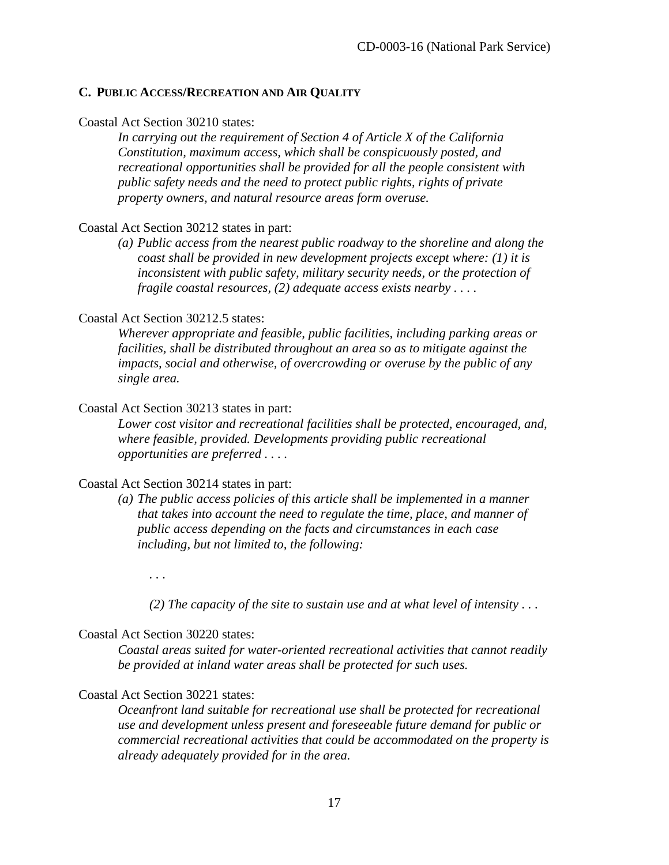#### <span id="page-16-0"></span>**C. PUBLIC ACCESS/RECREATION AND AIR QUALITY**

#### Coastal Act Section 30210 states:

*In carrying out the requirement of Section 4 of Article X of the California Constitution, maximum access, which shall be conspicuously posted, and recreational opportunities shall be provided for all the people consistent with public safety needs and the need to protect public rights, rights of private property owners, and natural resource areas form overuse.* 

#### Coastal Act Section 30212 states in part:

*(a) Public access from the nearest public roadway to the shoreline and along the coast shall be provided in new development projects except where: (1) it is inconsistent with public safety, military security needs, or the protection of fragile coastal resources, (2) adequate access exists nearby . . . .* 

#### Coastal Act Section 30212.5 states:

*Wherever appropriate and feasible, public facilities, including parking areas or facilities, shall be distributed throughout an area so as to mitigate against the impacts, social and otherwise, of overcrowding or overuse by the public of any single area.* 

#### Coastal Act Section 30213 states in part:

*Lower cost visitor and recreational facilities shall be protected, encouraged, and, where feasible, provided. Developments providing public recreational opportunities are preferred . . . .* 

#### Coastal Act Section 30214 states in part:

*(a) The public access policies of this article shall be implemented in a manner that takes into account the need to regulate the time, place, and manner of public access depending on the facts and circumstances in each case including, but not limited to, the following:* 

*. . .* 

*(2) The capacity of the site to sustain use and at what level of intensity . . .* 

#### Coastal Act Section 30220 states:

*Coastal areas suited for water-oriented recreational activities that cannot readily be provided at inland water areas shall be protected for such uses.* 

#### Coastal Act Section 30221 states:

*Oceanfront land suitable for recreational use shall be protected for recreational use and development unless present and foreseeable future demand for public or commercial recreational activities that could be accommodated on the property is already adequately provided for in the area.*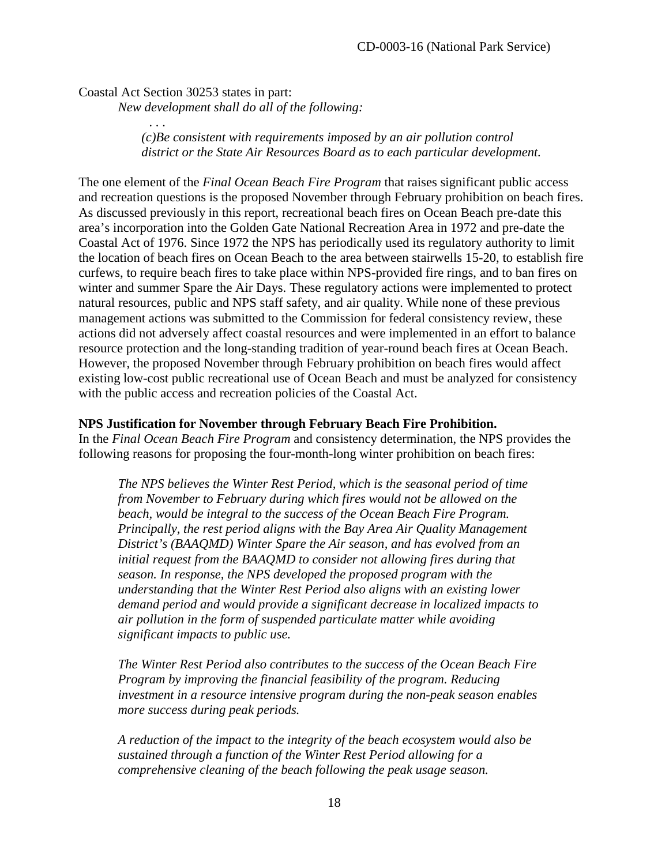Coastal Act Section 30253 states in part: *New development shall do all of the following:* 

*. . .* 

*(c)Be consistent with requirements imposed by an air pollution control district or the State Air Resources Board as to each particular development.* 

The one element of the *Final Ocean Beach Fire Program* that raises significant public access and recreation questions is the proposed November through February prohibition on beach fires. As discussed previously in this report, recreational beach fires on Ocean Beach pre-date this area's incorporation into the Golden Gate National Recreation Area in 1972 and pre-date the Coastal Act of 1976. Since 1972 the NPS has periodically used its regulatory authority to limit the location of beach fires on Ocean Beach to the area between stairwells 15-20, to establish fire curfews, to require beach fires to take place within NPS-provided fire rings, and to ban fires on winter and summer Spare the Air Days. These regulatory actions were implemented to protect natural resources, public and NPS staff safety, and air quality. While none of these previous management actions was submitted to the Commission for federal consistency review, these actions did not adversely affect coastal resources and were implemented in an effort to balance resource protection and the long-standing tradition of year-round beach fires at Ocean Beach. However, the proposed November through February prohibition on beach fires would affect existing low-cost public recreational use of Ocean Beach and must be analyzed for consistency with the public access and recreation policies of the Coastal Act.

#### **NPS Justification for November through February Beach Fire Prohibition.**

In the *Final Ocean Beach Fire Program* and consistency determination, the NPS provides the following reasons for proposing the four-month-long winter prohibition on beach fires:

*The NPS believes the Winter Rest Period, which is the seasonal period of time from November to February during which fires would not be allowed on the beach, would be integral to the success of the Ocean Beach Fire Program. Principally, the rest period aligns with the Bay Area Air Quality Management District's (BAAQMD) Winter Spare the Air season, and has evolved from an initial request from the BAAQMD to consider not allowing fires during that season. In response, the NPS developed the proposed program with the understanding that the Winter Rest Period also aligns with an existing lower demand period and would provide a significant decrease in localized impacts to air pollution in the form of suspended particulate matter while avoiding significant impacts to public use.* 

*The Winter Rest Period also contributes to the success of the Ocean Beach Fire Program by improving the financial feasibility of the program. Reducing investment in a resource intensive program during the non-peak season enables more success during peak periods.* 

*A reduction of the impact to the integrity of the beach ecosystem would also be sustained through a function of the Winter Rest Period allowing for a comprehensive cleaning of the beach following the peak usage season.*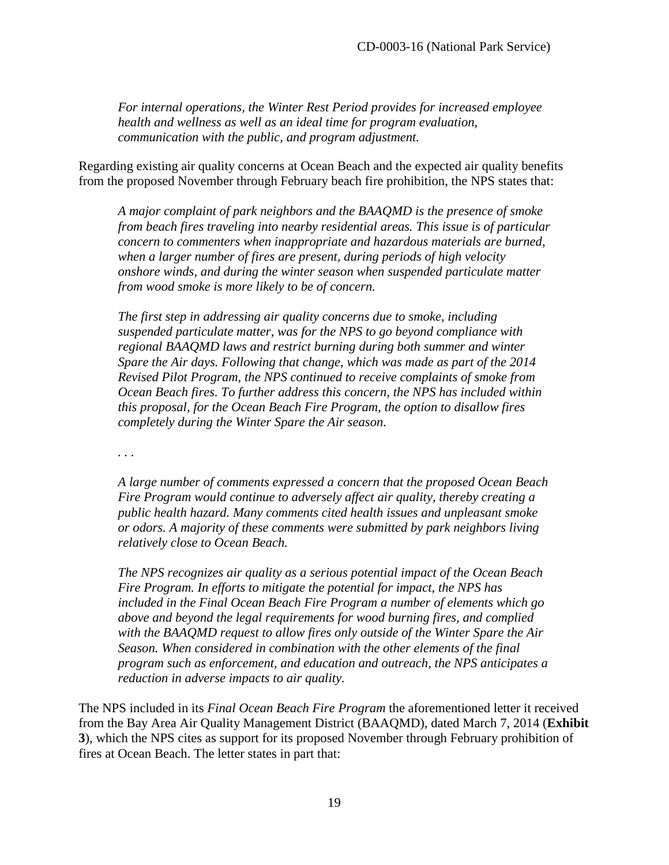*For internal operations, the Winter Rest Period provides for increased employee health and wellness as well as an ideal time for program evaluation, communication with the public, and program adjustment.* 

Regarding existing air quality concerns at Ocean Beach and the expected air quality benefits from the proposed November through February beach fire prohibition, the NPS states that:

*A major complaint of park neighbors and the BAAQMD is the presence of smoke from beach fires traveling into nearby residential areas. This issue is of particular concern to commenters when inappropriate and hazardous materials are burned, when a larger number of fires are present, during periods of high velocity onshore winds, and during the winter season when suspended particulate matter from wood smoke is more likely to be of concern.* 

*The first step in addressing air quality concerns due to smoke, including suspended particulate matter, was for the NPS to go beyond compliance with regional BAAQMD laws and restrict burning during both summer and winter Spare the Air days. Following that change, which was made as part of the 2014 Revised Pilot Program, the NPS continued to receive complaints of smoke from Ocean Beach fires. To further address this concern, the NPS has included within this proposal, for the Ocean Beach Fire Program, the option to disallow fires completely during the Winter Spare the Air season.* 

*. . .* 

*A large number of comments expressed a concern that the proposed Ocean Beach Fire Program would continue to adversely affect air quality, thereby creating a public health hazard. Many comments cited health issues and unpleasant smoke or odors. A majority of these comments were submitted by park neighbors living relatively close to Ocean Beach.*

*The NPS recognizes air quality as a serious potential impact of the Ocean Beach Fire Program. In efforts to mitigate the potential for impact, the NPS has included in the Final Ocean Beach Fire Program a number of elements which go above and beyond the legal requirements for wood burning fires, and complied with the BAAQMD request to allow fires only outside of the Winter Spare the Air Season. When considered in combination with the other elements of the final program such as enforcement, and education and outreach, the NPS anticipates a reduction in adverse impacts to air quality.*

The NPS included in its *Final Ocean Beach Fire Program* the aforementioned letter it received from the Bay Area Air Quality Management District (BAAQMD), dated March 7, 2014 (**Exhibit 3**), which the NPS cites as support for its proposed November through February prohibition of fires at Ocean Beach. The letter states in part that: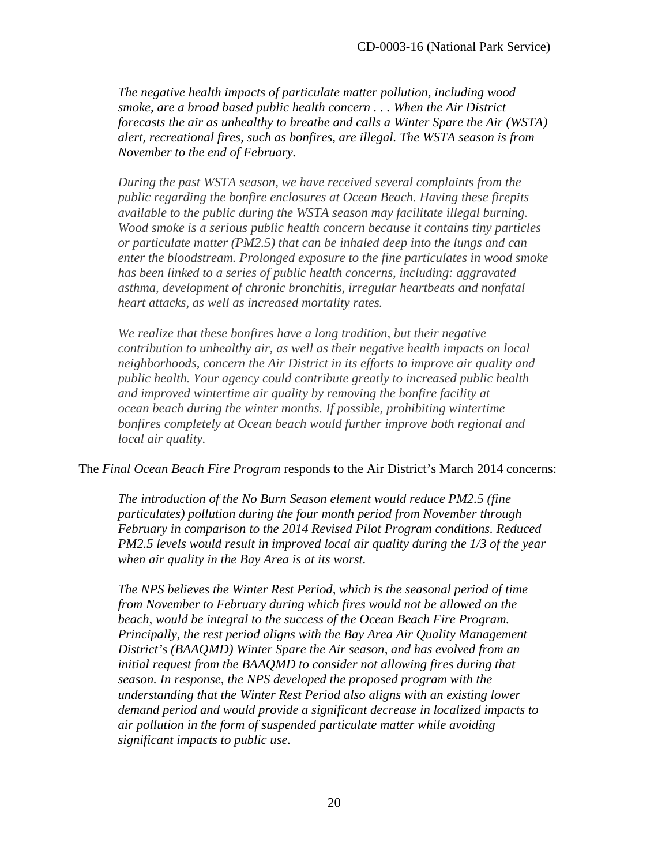*The negative health impacts of particulate matter pollution, including wood smoke, are a broad based public health concern . . . When the Air District forecasts the air as unhealthy to breathe and calls a Winter Spare the Air (WSTA) alert, recreational fires, such as bonfires, are illegal. The WSTA season is from November to the end of February.* 

*During the past WSTA season, we have received several complaints from the public regarding the bonfire enclosures at Ocean Beach. Having these firepits available to the public during the WSTA season may facilitate illegal burning. Wood smoke is a serious public health concern because it contains tiny particles or particulate matter (PM2.5) that can be inhaled deep into the lungs and can enter the bloodstream. Prolonged exposure to the fine particulates in wood smoke has been linked to a series of public health concerns, including: aggravated asthma, development of chronic bronchitis, irregular heartbeats and nonfatal heart attacks, as well as increased mortality rates.* 

*We realize that these bonfires have a long tradition, but their negative contribution to unhealthy air, as well as their negative health impacts on local neighborhoods, concern the Air District in its efforts to improve air quality and public health. Your agency could contribute greatly to increased public health and improved wintertime air quality by removing the bonfire facility at ocean beach during the winter months. If possible, prohibiting wintertime bonfires completely at Ocean beach would further improve both regional and local air quality.* 

#### The *Final Ocean Beach Fire Program* responds to the Air District's March 2014 concerns:

*The introduction of the No Burn Season element would reduce PM2.5 (fine particulates) pollution during the four month period from November through February in comparison to the 2014 Revised Pilot Program conditions. Reduced PM2.5 levels would result in improved local air quality during the 1/3 of the year when air quality in the Bay Area is at its worst.* 

*The NPS believes the Winter Rest Period, which is the seasonal period of time from November to February during which fires would not be allowed on the beach, would be integral to the success of the Ocean Beach Fire Program. Principally, the rest period aligns with the Bay Area Air Quality Management District's (BAAQMD) Winter Spare the Air season, and has evolved from an initial request from the BAAQMD to consider not allowing fires during that season. In response, the NPS developed the proposed program with the understanding that the Winter Rest Period also aligns with an existing lower demand period and would provide a significant decrease in localized impacts to air pollution in the form of suspended particulate matter while avoiding significant impacts to public use.*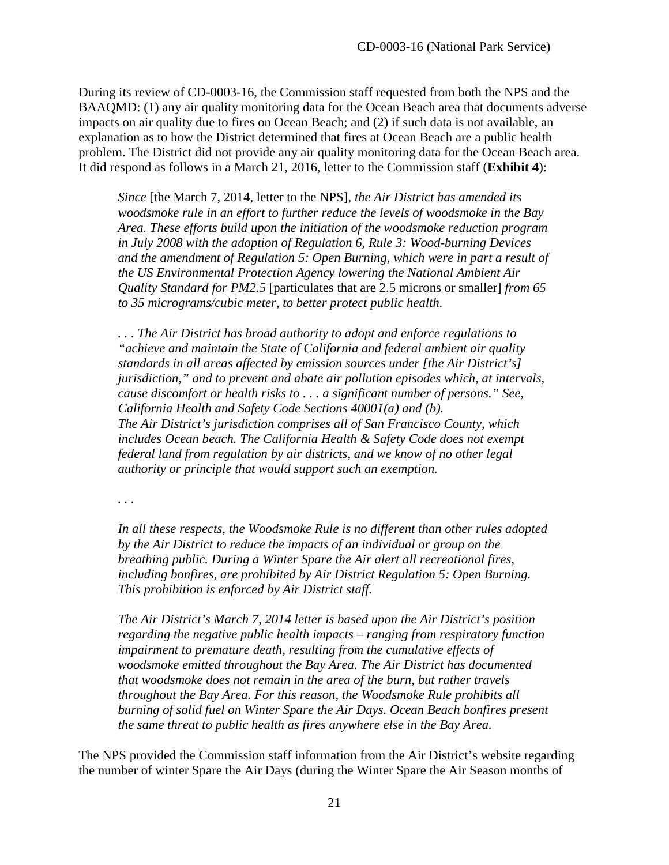During its review of CD-0003-16, the Commission staff requested from both the NPS and the BAAQMD: (1) any air quality monitoring data for the Ocean Beach area that documents adverse impacts on air quality due to fires on Ocean Beach; and (2) if such data is not available, an explanation as to how the District determined that fires at Ocean Beach are a public health problem. The District did not provide any air quality monitoring data for the Ocean Beach area. It did respond as follows in a March 21, 2016, letter to the Commission staff (**Exhibit 4**):

*Since* [the March 7, 2014, letter to the NPS], *the Air District has amended its woodsmoke rule in an effort to further reduce the levels of woodsmoke in the Bay Area. These efforts build upon the initiation of the woodsmoke reduction program in July 2008 with the adoption of Regulation 6, Rule 3: Wood-burning Devices and the amendment of Regulation 5: Open Burning, which were in part a result of the US Environmental Protection Agency lowering the National Ambient Air Quality Standard for PM2.5* [particulates that are 2.5 microns or smaller] *from 65 to 35 micrograms/cubic meter, to better protect public health.* 

*. . . The Air District has broad authority to adopt and enforce regulations to "achieve and maintain the State of California and federal ambient air quality standards in all areas affected by emission sources under [the Air District's] jurisdiction," and to prevent and abate air pollution episodes which, at intervals, cause discomfort or health risks to . . . a significant number of persons." See, California Health and Safety Code Sections 40001(a) and (b). The Air District's jurisdiction comprises all of San Francisco County, which includes Ocean beach. The California Health & Safety Code does not exempt federal land from regulation by air districts, and we know of no other legal authority or principle that would support such an exemption.* 

*. . .* 

*In all these respects, the Woodsmoke Rule is no different than other rules adopted by the Air District to reduce the impacts of an individual or group on the breathing public. During a Winter Spare the Air alert all recreational fires, including bonfires, are prohibited by Air District Regulation 5: Open Burning. This prohibition is enforced by Air District staff.*

*The Air District's March 7, 2014 letter is based upon the Air District's position regarding the negative public health impacts – ranging from respiratory function impairment to premature death, resulting from the cumulative effects of woodsmoke emitted throughout the Bay Area. The Air District has documented that woodsmoke does not remain in the area of the burn, but rather travels throughout the Bay Area. For this reason, the Woodsmoke Rule prohibits all burning of solid fuel on Winter Spare the Air Days. Ocean Beach bonfires present the same threat to public health as fires anywhere else in the Bay Area.* 

The NPS provided the Commission staff information from the Air District's website regarding the number of winter Spare the Air Days (during the Winter Spare the Air Season months of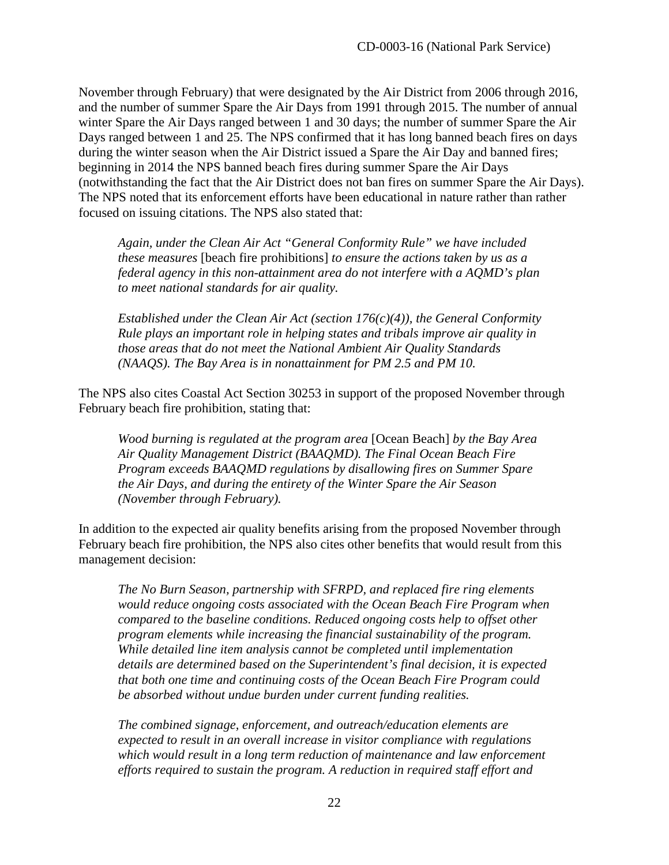November through February) that were designated by the Air District from 2006 through 2016, and the number of summer Spare the Air Days from 1991 through 2015. The number of annual winter Spare the Air Days ranged between 1 and 30 days; the number of summer Spare the Air Days ranged between 1 and 25. The NPS confirmed that it has long banned beach fires on days during the winter season when the Air District issued a Spare the Air Day and banned fires; beginning in 2014 the NPS banned beach fires during summer Spare the Air Days (notwithstanding the fact that the Air District does not ban fires on summer Spare the Air Days). The NPS noted that its enforcement efforts have been educational in nature rather than rather focused on issuing citations. The NPS also stated that:

*Again, under the Clean Air Act "General Conformity Rule" we have included these measures* [beach fire prohibitions] *to ensure the actions taken by us as a federal agency in this non-attainment area do not interfere with a AQMD's plan to meet national standards for air quality.* 

*Established under the Clean Air Act (section 176(c)(4)), the General Conformity Rule plays an important role in helping states and tribals improve air quality in those areas that do not meet the National Ambient Air Quality Standards (NAAQS). The Bay Area is in nonattainment for PM 2.5 and PM 10.* 

The NPS also cites Coastal Act Section 30253 in support of the proposed November through February beach fire prohibition, stating that:

*Wood burning is regulated at the program area* [Ocean Beach] *by the Bay Area Air Quality Management District (BAAQMD). The Final Ocean Beach Fire Program exceeds BAAQMD regulations by disallowing fires on Summer Spare the Air Days, and during the entirety of the Winter Spare the Air Season (November through February).* 

In addition to the expected air quality benefits arising from the proposed November through February beach fire prohibition, the NPS also cites other benefits that would result from this management decision:

*The No Burn Season, partnership with SFRPD, and replaced fire ring elements would reduce ongoing costs associated with the Ocean Beach Fire Program when compared to the baseline conditions. Reduced ongoing costs help to offset other program elements while increasing the financial sustainability of the program. While detailed line item analysis cannot be completed until implementation details are determined based on the Superintendent's final decision, it is expected that both one time and continuing costs of the Ocean Beach Fire Program could be absorbed without undue burden under current funding realities.* 

*The combined signage, enforcement, and outreach/education elements are expected to result in an overall increase in visitor compliance with regulations which would result in a long term reduction of maintenance and law enforcement efforts required to sustain the program. A reduction in required staff effort and*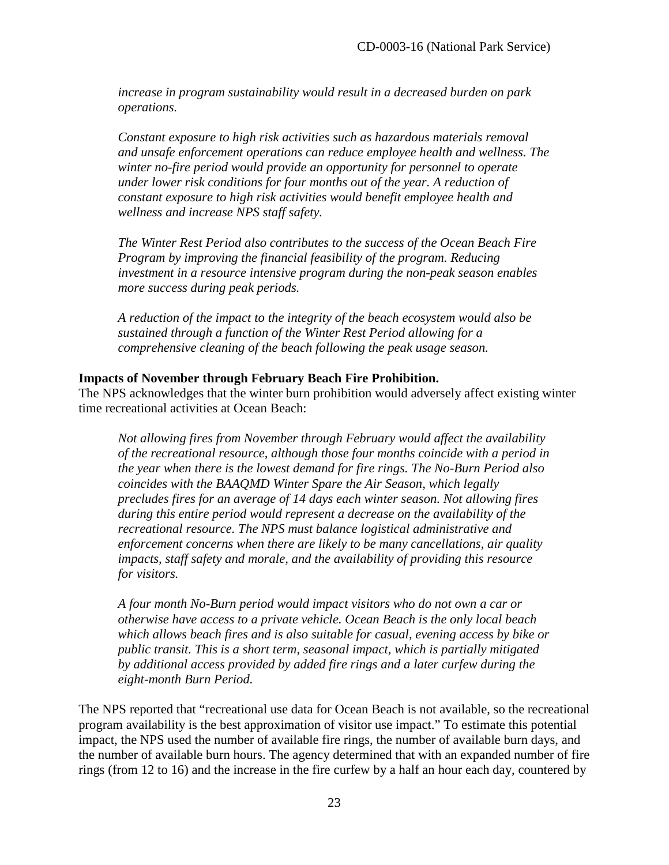*increase in program sustainability would result in a decreased burden on park operations.* 

*Constant exposure to high risk activities such as hazardous materials removal and unsafe enforcement operations can reduce employee health and wellness. The winter no-fire period would provide an opportunity for personnel to operate under lower risk conditions for four months out of the year. A reduction of constant exposure to high risk activities would benefit employee health and wellness and increase NPS staff safety.*

*The Winter Rest Period also contributes to the success of the Ocean Beach Fire Program by improving the financial feasibility of the program. Reducing investment in a resource intensive program during the non-peak season enables more success during peak periods.* 

*A reduction of the impact to the integrity of the beach ecosystem would also be sustained through a function of the Winter Rest Period allowing for a comprehensive cleaning of the beach following the peak usage season.* 

#### **Impacts of November through February Beach Fire Prohibition.**

The NPS acknowledges that the winter burn prohibition would adversely affect existing winter time recreational activities at Ocean Beach:

*Not allowing fires from November through February would affect the availability of the recreational resource, although those four months coincide with a period in the year when there is the lowest demand for fire rings. The No-Burn Period also coincides with the BAAQMD Winter Spare the Air Season, which legally precludes fires for an average of 14 days each winter season. Not allowing fires during this entire period would represent a decrease on the availability of the recreational resource. The NPS must balance logistical administrative and enforcement concerns when there are likely to be many cancellations, air quality impacts, staff safety and morale, and the availability of providing this resource for visitors.*

*A four month No-Burn period would impact visitors who do not own a car or otherwise have access to a private vehicle. Ocean Beach is the only local beach which allows beach fires and is also suitable for casual, evening access by bike or public transit. This is a short term, seasonal impact, which is partially mitigated by additional access provided by added fire rings and a later curfew during the eight-month Burn Period.* 

The NPS reported that "recreational use data for Ocean Beach is not available, so the recreational program availability is the best approximation of visitor use impact." To estimate this potential impact, the NPS used the number of available fire rings, the number of available burn days, and the number of available burn hours. The agency determined that with an expanded number of fire rings (from 12 to 16) and the increase in the fire curfew by a half an hour each day, countered by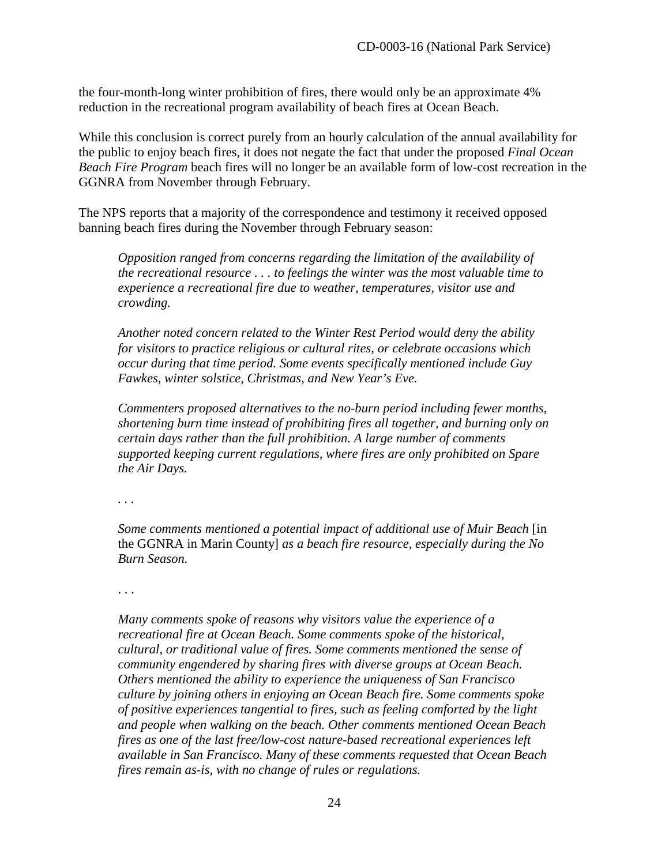the four-month-long winter prohibition of fires, there would only be an approximate 4% reduction in the recreational program availability of beach fires at Ocean Beach.

While this conclusion is correct purely from an hourly calculation of the annual availability for the public to enjoy beach fires, it does not negate the fact that under the proposed *Final Ocean Beach Fire Program* beach fires will no longer be an available form of low-cost recreation in the GGNRA from November through February.

The NPS reports that a majority of the correspondence and testimony it received opposed banning beach fires during the November through February season:

*Opposition ranged from concerns regarding the limitation of the availability of the recreational resource . . . to feelings the winter was the most valuable time to experience a recreational fire due to weather, temperatures, visitor use and crowding.* 

*Another noted concern related to the Winter Rest Period would deny the ability for visitors to practice religious or cultural rites, or celebrate occasions which occur during that time period. Some events specifically mentioned include Guy Fawkes, winter solstice, Christmas, and New Year's Eve.* 

*Commenters proposed alternatives to the no-burn period including fewer months, shortening burn time instead of prohibiting fires all together, and burning only on certain days rather than the full prohibition. A large number of comments supported keeping current regulations, where fires are only prohibited on Spare the Air Days.*

*. . .* 

*Some comments mentioned a potential impact of additional use of Muir Beach* [in] the GGNRA in Marin County] *as a beach fire resource, especially during the No Burn Season.* 

. . .

*Many comments spoke of reasons why visitors value the experience of a recreational fire at Ocean Beach. Some comments spoke of the historical, cultural, or traditional value of fires. Some comments mentioned the sense of community engendered by sharing fires with diverse groups at Ocean Beach. Others mentioned the ability to experience the uniqueness of San Francisco culture by joining others in enjoying an Ocean Beach fire. Some comments spoke of positive experiences tangential to fires, such as feeling comforted by the light and people when walking on the beach. Other comments mentioned Ocean Beach fires as one of the last free/low-cost nature-based recreational experiences left available in San Francisco. Many of these comments requested that Ocean Beach fires remain as-is, with no change of rules or regulations.*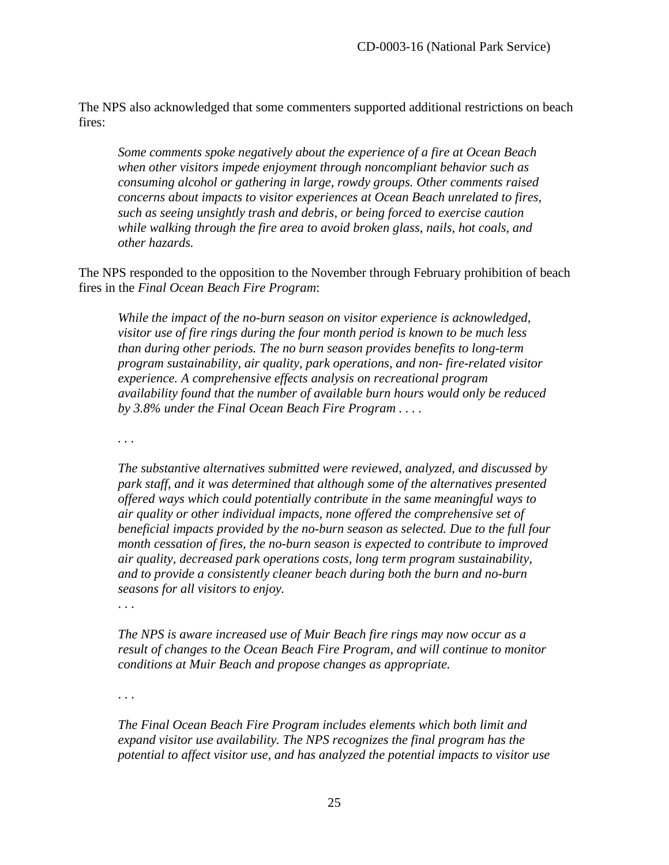The NPS also acknowledged that some commenters supported additional restrictions on beach fires:

*Some comments spoke negatively about the experience of a fire at Ocean Beach when other visitors impede enjoyment through noncompliant behavior such as consuming alcohol or gathering in large, rowdy groups. Other comments raised concerns about impacts to visitor experiences at Ocean Beach unrelated to fires, such as seeing unsightly trash and debris, or being forced to exercise caution while walking through the fire area to avoid broken glass, nails, hot coals, and other hazards.* 

The NPS responded to the opposition to the November through February prohibition of beach fires in the *Final Ocean Beach Fire Program*:

*While the impact of the no-burn season on visitor experience is acknowledged, visitor use of fire rings during the four month period is known to be much less than during other periods. The no burn season provides benefits to long-term program sustainability, air quality, park operations, and non- fire-related visitor experience. A comprehensive effects analysis on recreational program availability found that the number of available burn hours would only be reduced by 3.8% under the Final Ocean Beach Fire Program . . . .* 

*. . .* 

*The substantive alternatives submitted were reviewed, analyzed, and discussed by park staff, and it was determined that although some of the alternatives presented offered ways which could potentially contribute in the same meaningful ways to air quality or other individual impacts, none offered the comprehensive set of beneficial impacts provided by the no-burn season as selected. Due to the full four month cessation of fires, the no-burn season is expected to contribute to improved air quality, decreased park operations costs, long term program sustainability, and to provide a consistently cleaner beach during both the burn and no-burn seasons for all visitors to enjoy.* 

. . .

*The NPS is aware increased use of Muir Beach fire rings may now occur as a result of changes to the Ocean Beach Fire Program, and will continue to monitor conditions at Muir Beach and propose changes as appropriate.* 

. . .

*The Final Ocean Beach Fire Program includes elements which both limit and expand visitor use availability. The NPS recognizes the final program has the potential to affect visitor use, and has analyzed the potential impacts to visitor use*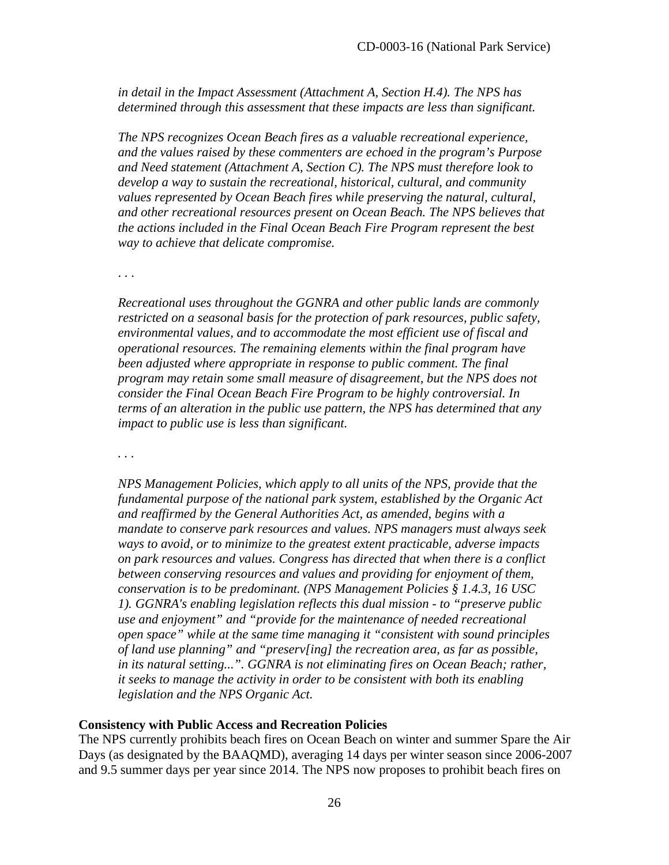*in detail in the Impact Assessment (Attachment A, Section H.4). The NPS has determined through this assessment that these impacts are less than significant.* 

*The NPS recognizes Ocean Beach fires as a valuable recreational experience, and the values raised by these commenters are echoed in the program's Purpose and Need statement (Attachment A, Section C). The NPS must therefore look to develop a way to sustain the recreational, historical, cultural, and community values represented by Ocean Beach fires while preserving the natural, cultural, and other recreational resources present on Ocean Beach. The NPS believes that the actions included in the Final Ocean Beach Fire Program represent the best way to achieve that delicate compromise.* 

. . .

*Recreational uses throughout the GGNRA and other public lands are commonly restricted on a seasonal basis for the protection of park resources, public safety, environmental values, and to accommodate the most efficient use of fiscal and operational resources. The remaining elements within the final program have been adjusted where appropriate in response to public comment. The final program may retain some small measure of disagreement, but the NPS does not consider the Final Ocean Beach Fire Program to be highly controversial. In terms of an alteration in the public use pattern, the NPS has determined that any impact to public use is less than significant.* 

*. . .* 

*NPS Management Policies, which apply to all units of the NPS, provide that the fundamental purpose of the national park system, established by the Organic Act and reaffirmed by the General Authorities Act, as amended, begins with a mandate to conserve park resources and values. NPS managers must always seek ways to avoid, or to minimize to the greatest extent practicable, adverse impacts on park resources and values. Congress has directed that when there is a conflict between conserving resources and values and providing for enjoyment of them, conservation is to be predominant. (NPS Management Policies § 1.4.3, 16 USC 1). GGNRA's enabling legislation reflects this dual mission - to "preserve public use and enjoyment" and "provide for the maintenance of needed recreational open space" while at the same time managing it "consistent with sound principles of land use planning" and "preserv[ing] the recreation area, as far as possible, in its natural setting...". GGNRA is not eliminating fires on Ocean Beach; rather, it seeks to manage the activity in order to be consistent with both its enabling legislation and the NPS Organic Act.* 

#### **Consistency with Public Access and Recreation Policies**

The NPS currently prohibits beach fires on Ocean Beach on winter and summer Spare the Air Days (as designated by the BAAQMD), averaging 14 days per winter season since 2006-2007 and 9.5 summer days per year since 2014. The NPS now proposes to prohibit beach fires on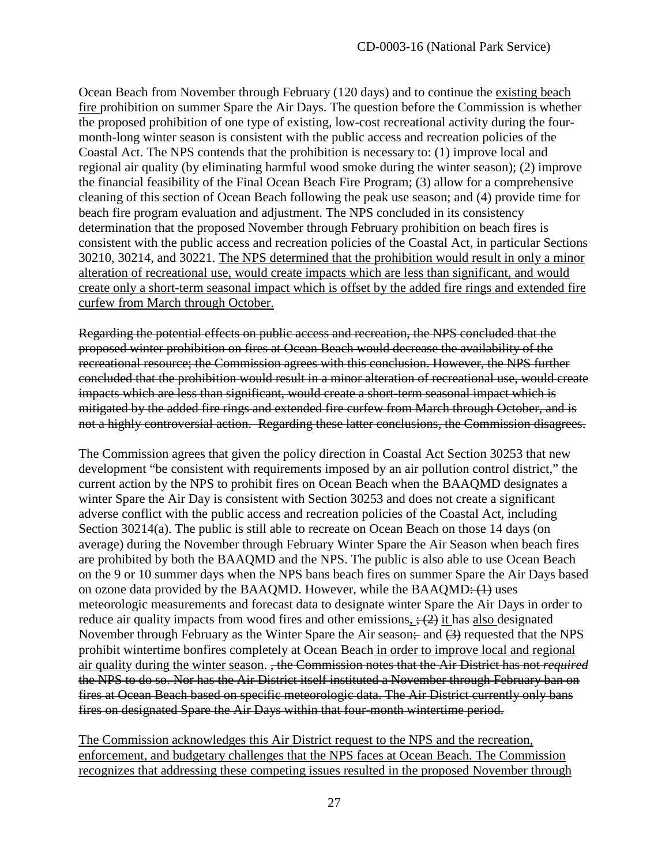Ocean Beach from November through February (120 days) and to continue the existing beach fire prohibition on summer Spare the Air Days. The question before the Commission is whether the proposed prohibition of one type of existing, low-cost recreational activity during the fourmonth-long winter season is consistent with the public access and recreation policies of the Coastal Act. The NPS contends that the prohibition is necessary to: (1) improve local and regional air quality (by eliminating harmful wood smoke during the winter season); (2) improve the financial feasibility of the Final Ocean Beach Fire Program; (3) allow for a comprehensive cleaning of this section of Ocean Beach following the peak use season; and (4) provide time for beach fire program evaluation and adjustment. The NPS concluded in its consistency determination that the proposed November through February prohibition on beach fires is consistent with the public access and recreation policies of the Coastal Act, in particular Sections 30210, 30214, and 30221. The NPS determined that the prohibition would result in only a minor alteration of recreational use, would create impacts which are less than significant, and would create only a short-term seasonal impact which is offset by the added fire rings and extended fire curfew from March through October.

Regarding the potential effects on public access and recreation, the NPS concluded that the proposed winter prohibition on fires at Ocean Beach would decrease the availability of the recreational resource; the Commission agrees with this conclusion. However, the NPS further concluded that the prohibition would result in a minor alteration of recreational use, would create impacts which are less than significant, would create a short-term seasonal impact which is mitigated by the added fire rings and extended fire curfew from March through October, and is not a highly controversial action. Regarding these latter conclusions, the Commission disagrees.

The Commission agrees that given the policy direction in Coastal Act Section 30253 that new development "be consistent with requirements imposed by an air pollution control district," the current action by the NPS to prohibit fires on Ocean Beach when the BAAQMD designates a winter Spare the Air Day is consistent with Section 30253 and does not create a significant adverse conflict with the public access and recreation policies of the Coastal Act, including Section 30214(a). The public is still able to recreate on Ocean Beach on those 14 days (on average) during the November through February Winter Spare the Air Season when beach fires are prohibited by both the BAAQMD and the NPS. The public is also able to use Ocean Beach on the 9 or 10 summer days when the NPS bans beach fires on summer Spare the Air Days based on ozone data provided by the BAAQMD. However, while the BAAQMD $\div$  (1) uses meteorologic measurements and forecast data to designate winter Spare the Air Days in order to reduce air quality impacts from wood fires and other emissions,  $\div$  (2) it has also designated November through February as the Winter Spare the Air season; and  $(3)$  requested that the NPS prohibit wintertime bonfires completely at Ocean Beach in order to improve local and regional air quality during the winter season. , the Commission notes that the Air District has not *required* the NPS to do so. Nor has the Air District itself instituted a November through February ban on fires at Ocean Beach based on specific meteorologic data. The Air District currently only bans fires on designated Spare the Air Days within that four-month wintertime period.

The Commission acknowledges this Air District request to the NPS and the recreation, enforcement, and budgetary challenges that the NPS faces at Ocean Beach. The Commission recognizes that addressing these competing issues resulted in the proposed November through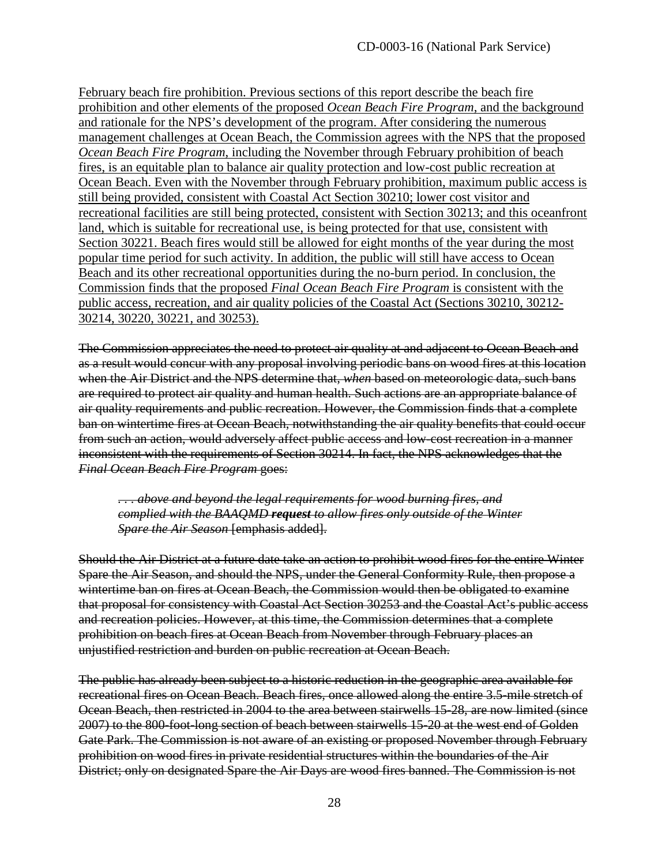February beach fire prohibition. Previous sections of this report describe the beach fire prohibition and other elements of the proposed *Ocean Beach Fire Program*, and the background and rationale for the NPS's development of the program. After considering the numerous management challenges at Ocean Beach, the Commission agrees with the NPS that the proposed *Ocean Beach Fire Program*, including the November through February prohibition of beach fires, is an equitable plan to balance air quality protection and low-cost public recreation at Ocean Beach. Even with the November through February prohibition, maximum public access is still being provided, consistent with Coastal Act Section 30210; lower cost visitor and recreational facilities are still being protected, consistent with Section 30213; and this oceanfront land, which is suitable for recreational use, is being protected for that use, consistent with Section 30221. Beach fires would still be allowed for eight months of the year during the most popular time period for such activity. In addition, the public will still have access to Ocean Beach and its other recreational opportunities during the no-burn period. In conclusion, the Commission finds that the proposed *Final Ocean Beach Fire Program* is consistent with the public access, recreation, and air quality policies of the Coastal Act (Sections 30210, 30212- 30214, 30220, 30221, and 30253).

The Commission appreciates the need to protect air quality at and adjacent to Ocean Beach and as a result would concur with any proposal involving periodic bans on wood fires at this location when the Air District and the NPS determine that, *when* based on meteorologic data, such bans are required to protect air quality and human health. Such actions are an appropriate balance of air quality requirements and public recreation. However, the Commission finds that a complete ban on wintertime fires at Ocean Beach, notwithstanding the air quality benefits that could occur from such an action, would adversely affect public access and low-cost recreation in a manner inconsistent with the requirements of Section 30214. In fact, the NPS acknowledges that the *Final Ocean Beach Fire Program* goes:

*. . . above and beyond the legal requirements for wood burning fires, and complied with the BAAQMD request to allow fires only outside of the Winter Spare the Air Season* [emphasis added].

Should the Air District at a future date take an action to prohibit wood fires for the entire Winter Spare the Air Season, and should the NPS, under the General Conformity Rule, then propose a wintertime ban on fires at Ocean Beach, the Commission would then be obligated to examine that proposal for consistency with Coastal Act Section 30253 and the Coastal Act's public access and recreation policies. However, at this time, the Commission determines that a complete prohibition on beach fires at Ocean Beach from November through February places an unjustified restriction and burden on public recreation at Ocean Beach.

The public has already been subject to a historic reduction in the geographic area available for recreational fires on Ocean Beach. Beach fires, once allowed along the entire 3.5-mile stretch of Ocean Beach, then restricted in 2004 to the area between stairwells 15-28, are now limited (since 2007) to the 800-foot-long section of beach between stairwells 15-20 at the west end of Golden Gate Park. The Commission is not aware of an existing or proposed November through February prohibition on wood fires in private residential structures within the boundaries of the Air District; only on designated Spare the Air Days are wood fires banned. The Commission is not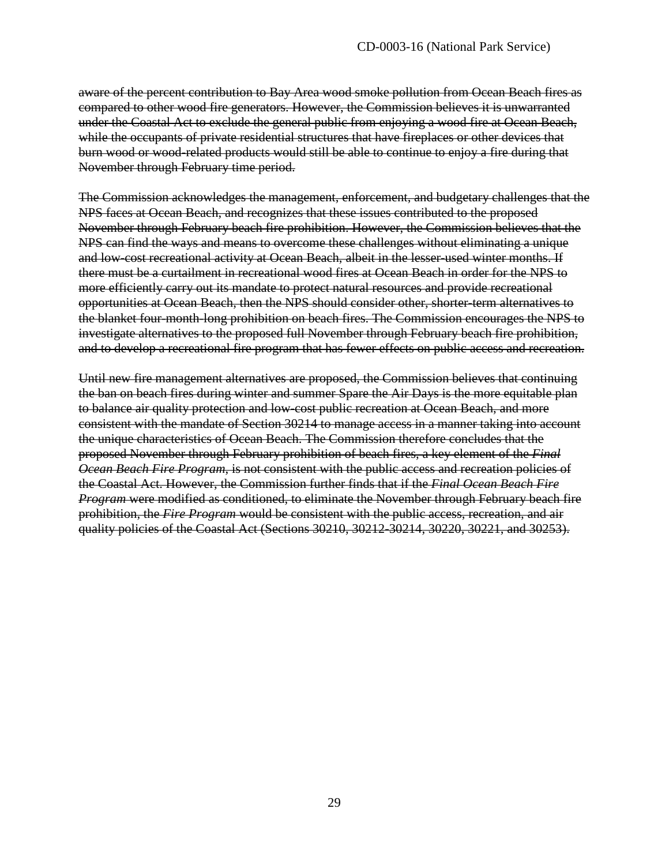aware of the percent contribution to Bay Area wood smoke pollution from Ocean Beach fires as compared to other wood fire generators. However, the Commission believes it is unwarranted under the Coastal Act to exclude the general public from enjoying a wood fire at Ocean Beach, while the occupants of private residential structures that have fireplaces or other devices that burn wood or wood-related products would still be able to continue to enjoy a fire during that November through February time period.

The Commission acknowledges the management, enforcement, and budgetary challenges that the NPS faces at Ocean Beach, and recognizes that these issues contributed to the proposed November through February beach fire prohibition. However, the Commission believes that the NPS can find the ways and means to overcome these challenges without eliminating a unique and low-cost recreational activity at Ocean Beach, albeit in the lesser-used winter months. If there must be a curtailment in recreational wood fires at Ocean Beach in order for the NPS to more efficiently carry out its mandate to protect natural resources and provide recreational opportunities at Ocean Beach, then the NPS should consider other, shorter-term alternatives to the blanket four-month-long prohibition on beach fires. The Commission encourages the NPS to investigate alternatives to the proposed full November through February beach fire prohibition, and to develop a recreational fire program that has fewer effects on public access and recreation.

Until new fire management alternatives are proposed, the Commission believes that continuing the ban on beach fires during winter and summer Spare the Air Days is the more equitable plan to balance air quality protection and low-cost public recreation at Ocean Beach, and more consistent with the mandate of Section 30214 to manage access in a manner taking into account the unique characteristics of Ocean Beach. The Commission therefore concludes that the proposed November through February prohibition of beach fires, a key element of the *Final Ocean Beach Fire Program*, is not consistent with the public access and recreation policies of the Coastal Act. However, the Commission further finds that if the *Final Ocean Beach Fire Program* were modified as conditioned, to eliminate the November through February beach fire prohibition, the *Fire Program* would be consistent with the public access, recreation, and air quality policies of the Coastal Act (Sections 30210, 30212-30214, 30220, 30221, and 30253).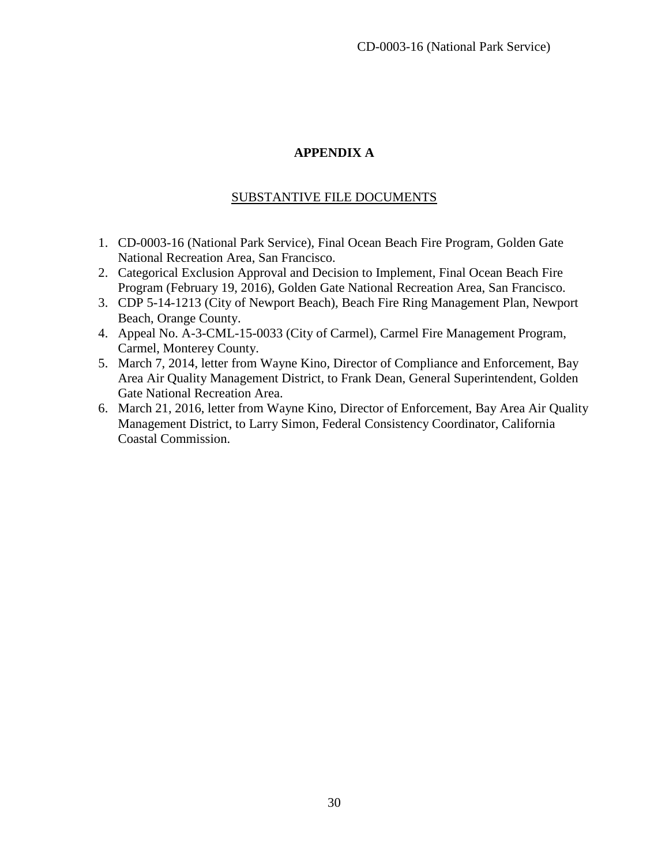#### **APPENDIX A**

#### SUBSTANTIVE FILE DOCUMENTS

- <span id="page-29-0"></span>1. CD-0003-16 (National Park Service), Final Ocean Beach Fire Program, Golden Gate National Recreation Area, San Francisco.
- 2. Categorical Exclusion Approval and Decision to Implement, Final Ocean Beach Fire Program (February 19, 2016), Golden Gate National Recreation Area, San Francisco.
- 3. CDP 5-14-1213 (City of Newport Beach), Beach Fire Ring Management Plan, Newport Beach, Orange County.
- 4. Appeal No. A-3-CML-15-0033 (City of Carmel), Carmel Fire Management Program, Carmel, Monterey County.
- 5. March 7, 2014, letter from Wayne Kino, Director of Compliance and Enforcement, Bay Area Air Quality Management District, to Frank Dean, General Superintendent, Golden Gate National Recreation Area.
- 6. March 21, 2016, letter from Wayne Kino, Director of Enforcement, Bay Area Air Quality Management District, to Larry Simon, Federal Consistency Coordinator, California Coastal Commission.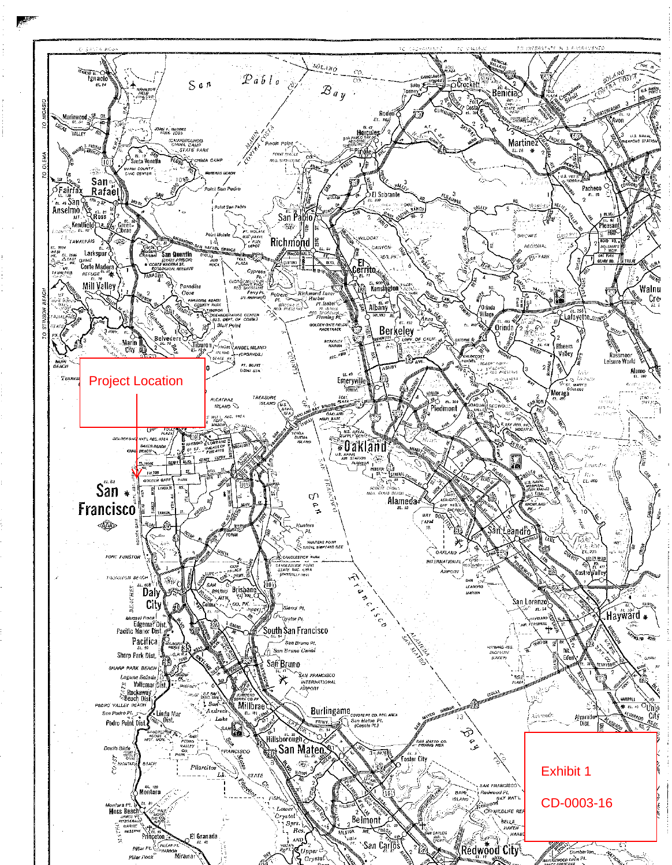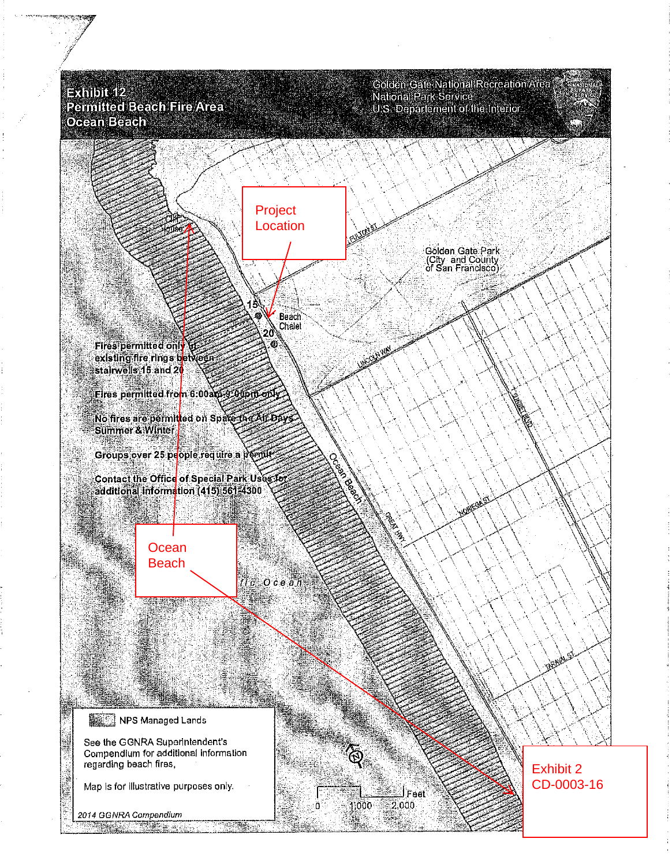$\Rightarrow$  whibit  $12$ Permitted Beach Fire Area Ocean Beach

Golden Gate National Recreation Area National Park Service<br>U.S. Departement of the Interior

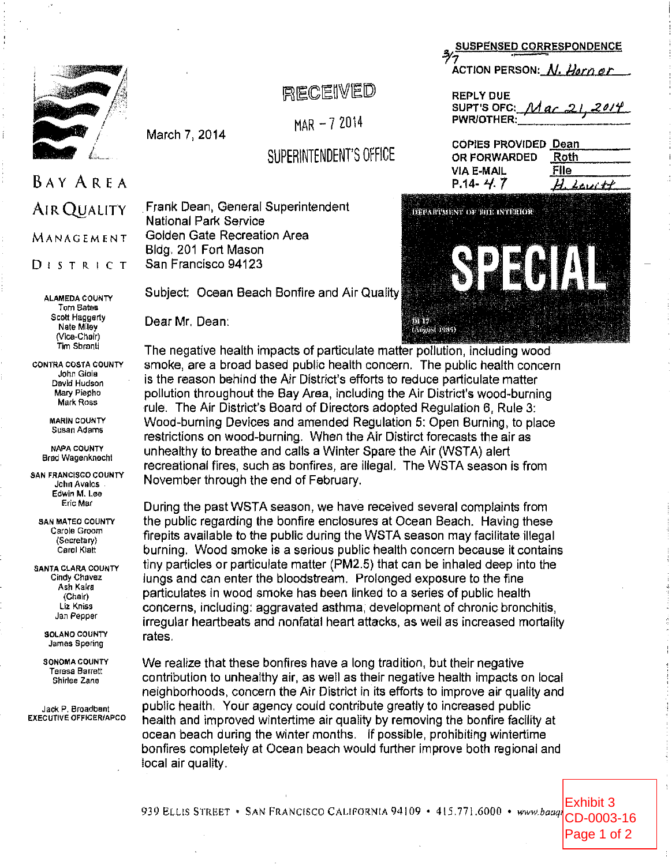

# RECEIVED

 $MAR - 72014$ 

SUPERINTENDENT'S OFFICE

**BAY AREA AIR QUALITY MANAGEMENT**  $D$  is  $T$  R i C T

> **ALAMEDA COUNTY Tom Bates** Scott Haggerty Nate Milev (Vice-Chair) Tim Sbranti

**CONTRA COSTA COUNTY** John Giola David Hudson Mary Piepho Mark Ross

> **MARIN COUNTY** Susan Adams

**NAPA COUNTY Brad Wagenknecht** 

**SAN FRANCISCO COUNTY** John Avelos Edwin M. I.ee Eric Mar

**SAN MATEO COUNTY** Carole Groom (Secretary) Carol Klatt

SANTA CLARA COUNTY Cindy Chavez Ash Kalra (Chair) Liz Kniss Jan Pepper

> SOLANO COUNTY James Spering

**SONOMA COUNTY Teresa Barrett** Shirlee Zane

Jack P. Broadbent **EXECUTIVE OFFICER/APCO** 

Frank Dean, General Superintendent National Park Service Golden Gate Recreation Area Bldg. 201 Fort Mason San Francisco 94123

Subject: Ocean Beach Bonfire and Air Quality

Dear Mr. Dean:

March 7, 2014

The negative health impacts of particulate matter pollution, including wood smoke, are a broad based public health concern. The public health concern is the reason behind the Air District's efforts to reduce particulate matter pollution throughout the Bay Area, including the Air District's wood-burning rule. The Air District's Board of Directors adopted Regulation 6, Rule 3: Wood-burning Devices and amended Regulation 5: Open Burning, to place restrictions on wood-burning. When the Air Distirct forecasts the air as unhealthy to breathe and calls a Winter Spare the Air (WSTA) alert recreational fires, such as bonfires, are illegal. The WSTA season is from November through the end of February.

During the past WSTA season, we have received several complaints from the public regarding the bonfire enclosures at Ocean Beach. Having these firepits available to the public during the WSTA season may facilitate illegal burning. Wood smoke is a serious public health concern because it contains tiny particles or particulate matter (PM2.5) that can be inhaled deep into the lungs and can enter the bloodstream. Prolonged exposure to the fine particulates in wood smoke has been linked to a series of public health concerns, including: aggravated asthma, development of chronic bronchitis, irregular heartbeats and nonfatal heart attacks, as well as increased mortality rates.

We realize that these bonfires have a long tradition, but their negative contribution to unhealthy air, as well as their negative health impacts on local neighborhoods, concern the Air District in its efforts to improve air quality and public health. Your agency could contribute greatly to increased public health and improved wintertime air quality by removing the bonfire facility at ocean beach during the winter months. If possible, prohibiting wintertime bonfires completely at Ocean beach would further improve both regional and local air quality.

SUSPENSED CORRESPONDENCE ACTION PERSON: N. Hern or

**REPLY DUE** SUPT'S OFC:  $Mac$  21, 2014 PWR/OTHER:

| COPIES PROVIDED Dean |             |
|----------------------|-------------|
| OR FORWARDED         | <b>Roth</b> |
| VIA E-MAIL           | File        |
| $P.14 - 4.7$         | $H$ bevitt  |



Page 1 of 2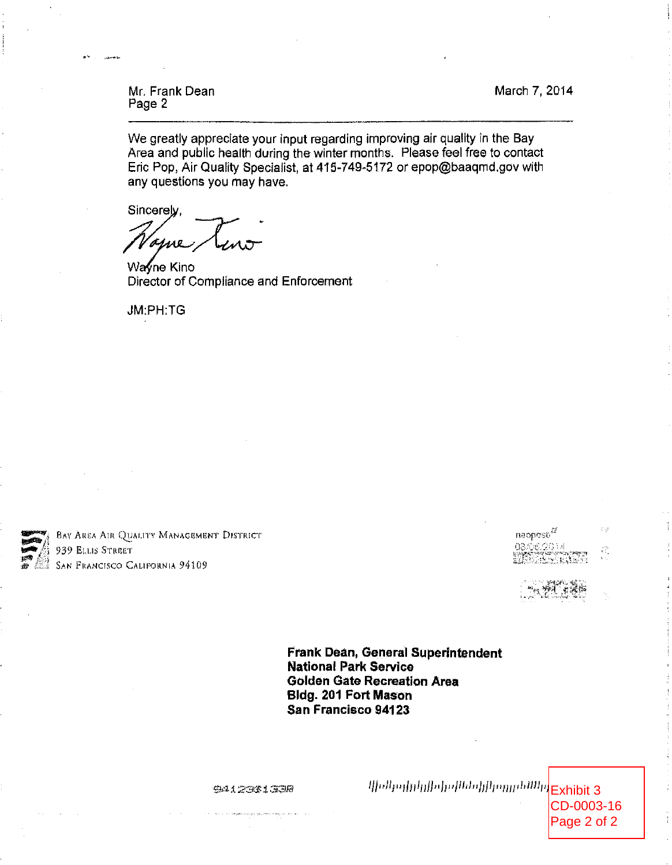March 7, 2014

Mr. Frank Dean Page 2

We greatly appreciate your input regarding improving air quality in the Bay Area and public health during the winter months. Please feel free to contact Eric Pop, Air Quality Specialist, at 415-749-5172 or epop@baaqmd.gov with any questions you may have.

Sincerely.

Wayne Kino Director of Compliance and Enforcement

JM:PH:TG



**BAY AREA AIR QUALITY MANAGEMENT DISTRICT** 939 ELLIS STREET **SAN FRANCISCO CALIFORNIA 94109** 

a.<br>Ma  $me$ opos $b^M$ assicios  $\widehat{C}_n$ 

Frank Dean, General Superintendent **National Park Service Golden Gate Recreation Area** Bldg. 201 Fort Mason San Francisco 94123

**SA12331338** 

 $\left\langle \left\langle \left\langle \rho |h_{11}|\rho| \rho |h_{12}|\rho| \right\rangle \left\langle \left\langle \rho |h_{11}|\rho| \right\rangle \right\rangle \right\rangle \right\langle \left\langle \rho |h_{11}|\rho| \right\rangle \right\langle \left\langle \rho |h_{12}|\rho| \right\rangle \right\langle 100\rangle$ 

CD-0003-16 Page 2 of 2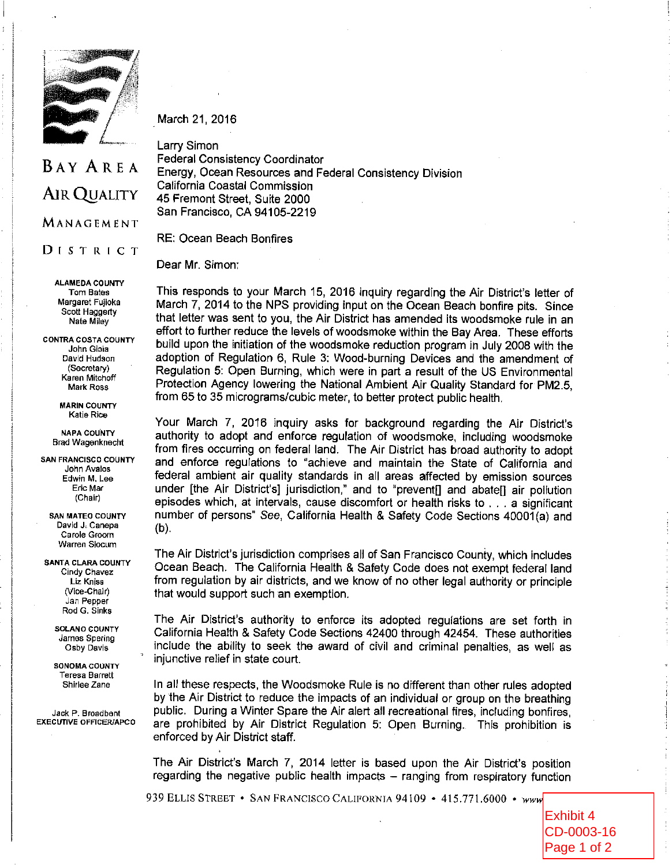

March 21, 2016

# **BAY AREA AIR QUALITY** MANAGEMENT

DISTRICT

**ALAMEDA COUNTY Tom Bates** Margaret Fujioka Scott Haggerty Nate Milev

**CONTRA COSTA COUNTY** John Gioia David Hudson (Secretary) Karen Mitchoff Mark Ross

> **MARIN COUNTY** Katie Rice

**NAPA COUNTY Brad Wagenknecht** 

**SAN FRANCISCO COUNTY** John Avalos Edwin M, Lee Eric Mar (Chair)

**SAN MATEO COUNTY** David J. Canepa Carole Groom **Warren Slocum** 

**SANTA CLARA COUNTY** Cindy Chavez Liz Kniss (Vice-Chair) Jan Pepper Rod G. Sinks

> **SOLANO COUNTY** James Spering Osby Davis

**SONOMA COUNTY Teresa Barrett** Shirlee Zane

Jack P. Broadbent **EXECUTIVE OFFICER/APCO** 

Larry Simon **Federal Consistency Coordinator** Energy, Ocean Resources and Federal Consistency Division California Coastal Commission 45 Fremont Street, Suite 2000 San Francisco, CA 94105-2219

**RE: Ocean Beach Bonfires** 

Dear Mr. Simon:

This responds to your March 15, 2016 inquiry regarding the Air District's letter of March 7, 2014 to the NPS providing input on the Ocean Beach bonfire pits. Since that letter was sent to you, the Air District has amended its woodsmoke rule in an effort to further reduce the levels of woodsmoke within the Bay Area. These efforts build upon the initiation of the woodsmoke reduction program in July 2008 with the adoption of Regulation 6, Rule 3: Wood-burning Devices and the amendment of Regulation 5: Open Burning, which were in part a result of the US Environmental Protection Agency lowering the National Ambient Air Quality Standard for PM2.5, from 65 to 35 micrograms/cubic meter, to better protect public health.

Your March 7, 2016 inquiry asks for background regarding the Air District's authority to adopt and enforce regulation of woodsmoke, including woodsmoke from fires occurring on federal land. The Air District has broad authority to adopt and enforce regulations to "achieve and maintain the State of California and federal ambient air quality standards in all areas affected by emission sources under [the Air District's] jurisdiction," and to "prevent[] and abate[] air pollution episodes which, at intervals, cause discomfort or health risks to . . . a significant number of persons" See, California Health & Safety Code Sections 40001(a) and  $(b)$ .

The Air District's jurisdiction comprises all of San Francisco County, which includes Ocean Beach. The California Health & Safety Code does not exempt federal land from regulation by air districts, and we know of no other legal authority or principle that would support such an exemption.

The Air District's authority to enforce its adopted regulations are set forth in California Health & Safety Code Sections 42400 through 42454. These authorities include the ability to seek the award of civil and criminal penalties, as well as injunctive relief in state court.

In all these respects, the Woodsmoke Rule is no different than other rules adopted by the Air District to reduce the impacts of an individual or group on the breathing public. During a Winter Spare the Air alert all recreational fires, including bonfires, are prohibited by Air District Regulation 5: Open Burning. This prohibition is enforced by Air District staff.

The Air District's March 7, 2014 letter is based upon the Air District's position regarding the negative public health impacts - ranging from respiratory function

939 ELLIS STREET • SAN FRANCISCO CALIFORNIA 94109 • 415.771.6000 • www

Exhibit 4 CD-0003-16 Page 1 of 2